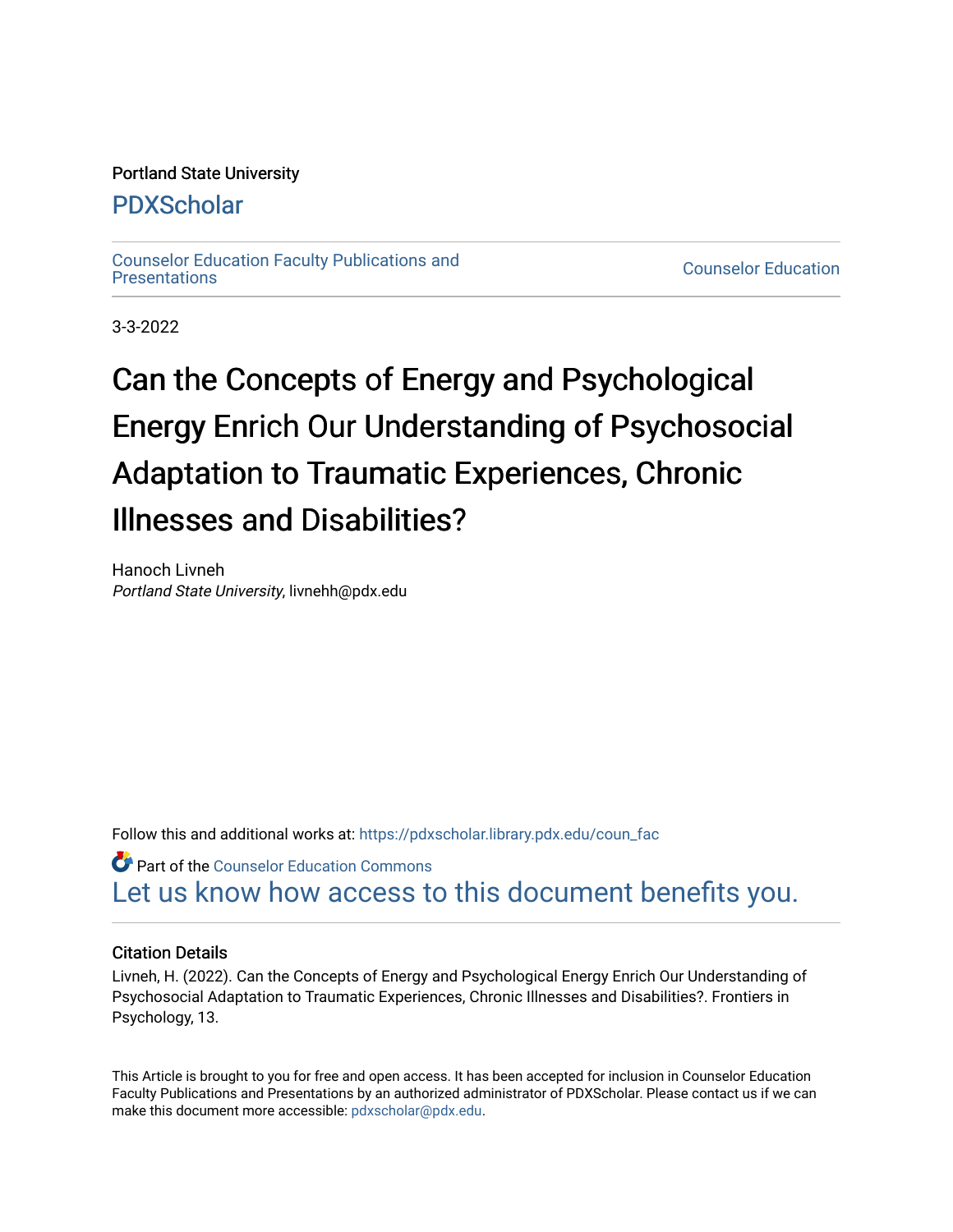#### Portland State University

# [PDXScholar](https://pdxscholar.library.pdx.edu/)

[Counselor Education Faculty Publications and](https://pdxscholar.library.pdx.edu/coun_fac)

**Counselor Education** 

3-3-2022

# Can the Concepts of Energy and Psychological Energy Enrich Our Understanding of Psychosocial Adaptation to Traumatic Experiences, Chronic Illnesses and Disabilities?

Hanoch Livneh Portland State University, livnehh@pdx.edu

Follow this and additional works at: [https://pdxscholar.library.pdx.edu/coun\\_fac](https://pdxscholar.library.pdx.edu/coun_fac?utm_source=pdxscholar.library.pdx.edu%2Fcoun_fac%2F95&utm_medium=PDF&utm_campaign=PDFCoverPages) 

**Part of the Counselor Education Commons** [Let us know how access to this document benefits you.](http://library.pdx.edu/services/pdxscholar-services/pdxscholar-feedback/?ref=https://pdxscholar.library.pdx.edu/coun_fac/95) 

#### Citation Details

Livneh, H. (2022). Can the Concepts of Energy and Psychological Energy Enrich Our Understanding of Psychosocial Adaptation to Traumatic Experiences, Chronic Illnesses and Disabilities?. Frontiers in Psychology, 13.

This Article is brought to you for free and open access. It has been accepted for inclusion in Counselor Education Faculty Publications and Presentations by an authorized administrator of PDXScholar. Please contact us if we can make this document more accessible: [pdxscholar@pdx.edu.](mailto:pdxscholar@pdx.edu)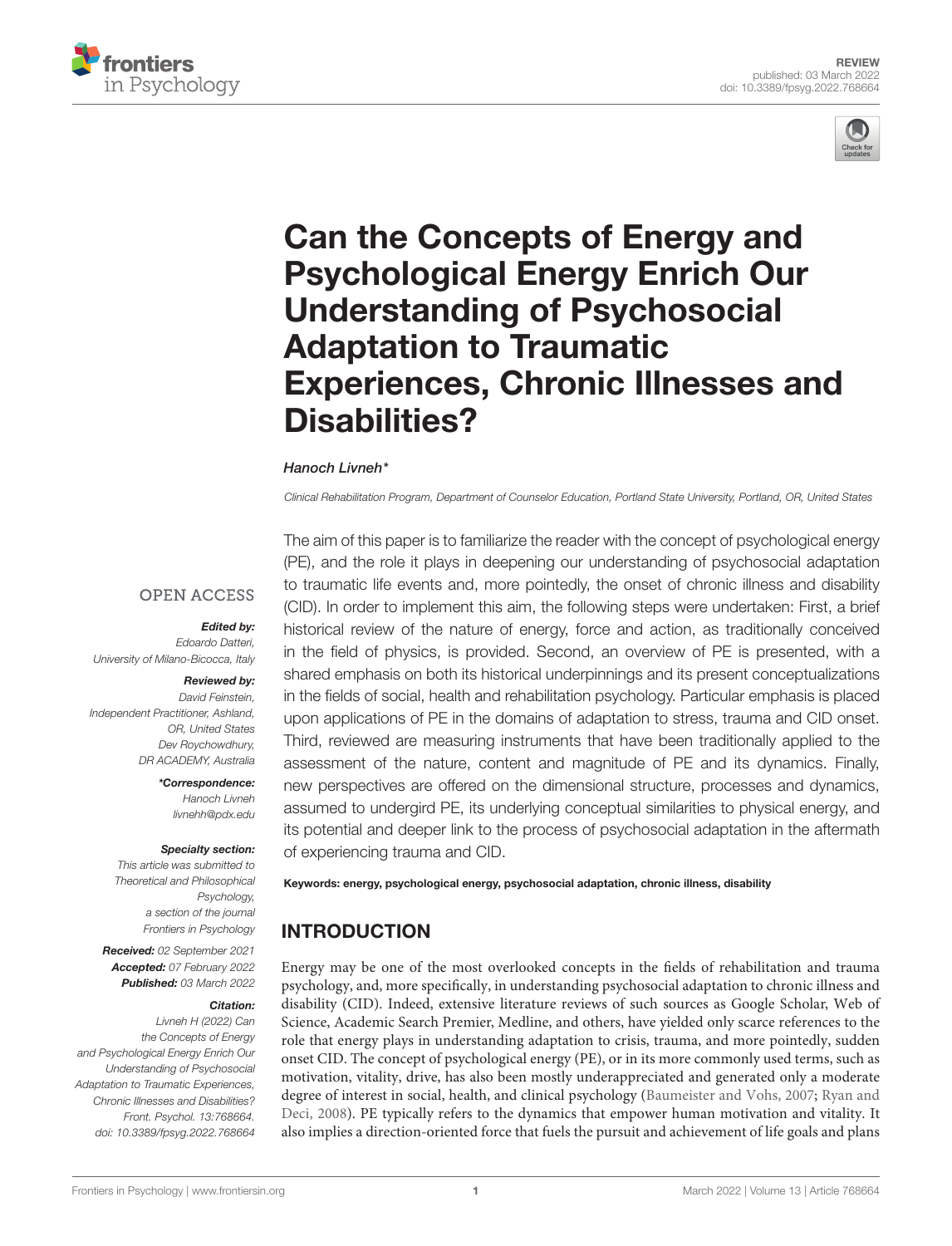



# Can the Concepts of Energy and Psychological Energy Enrich Our Understanding of Psychosocial Adaptation to Traumatic [Experiences, Chronic Illnesses and](https://www.frontiersin.org/articles/10.3389/fpsyg.2022.768664/full) Disabilities?

#### Hanoch Livneh\*

Clinical Rehabilitation Program, Department of Counselor Education, Portland State University, Portland, OR, United States

#### **OPEN ACCESS**

#### Edited by:

Edoardo Datteri, University of Milano-Bicocca, Italy

#### Reviewed by:

David Feinstein, Independent Practitioner, Ashland, OR, United States Dev Roychowdhury, DR ACADEMY, Australia

> \*Correspondence: Hanoch Livneh livnehh@pdx.edu

#### Specialty section:

This article was submitted to Theoretical and Philosophical Psychology, a section of the journal Frontiers in Psychology

Received: 02 September 2021 Accepted: 07 February 2022 Published: 03 March 2022

#### Citation:

Livneh H (2022) Can the Concepts of Energy and Psychological Energy Enrich Our Understanding of Psychosocial Adaptation to Traumatic Experiences, Chronic Illnesses and Disabilities? Front. Psychol. 13:768664. doi: [10.3389/fpsyg.2022.768664](https://doi.org/10.3389/fpsyg.2022.768664)

The aim of this paper is to familiarize the reader with the concept of psychological energy (PE), and the role it plays in deepening our understanding of psychosocial adaptation to traumatic life events and, more pointedly, the onset of chronic illness and disability (CID). In order to implement this aim, the following steps were undertaken: First, a brief historical review of the nature of energy, force and action, as traditionally conceived in the field of physics, is provided. Second, an overview of PE is presented, with a shared emphasis on both its historical underpinnings and its present conceptualizations in the fields of social, health and rehabilitation psychology. Particular emphasis is placed upon applications of PE in the domains of adaptation to stress, trauma and CID onset. Third, reviewed are measuring instruments that have been traditionally applied to the assessment of the nature, content and magnitude of PE and its dynamics. Finally, new perspectives are offered on the dimensional structure, processes and dynamics, assumed to undergird PE, its underlying conceptual similarities to physical energy, and its potential and deeper link to the process of psychosocial adaptation in the aftermath of experiencing trauma and CID.

Keywords: energy, psychological energy, psychosocial adaptation, chronic illness, disability

# INTRODUCTION

Energy may be one of the most overlooked concepts in the fields of rehabilitation and trauma psychology, and, more specifically, in understanding psychosocial adaptation to chronic illness and disability (CID). Indeed, extensive literature reviews of such sources as Google Scholar, Web of Science, Academic Search Premier, Medline, and others, have yielded only scarce references to the role that energy plays in understanding adaptation to crisis, trauma, and more pointedly, sudden onset CID. The concept of psychological energy (PE), or in its more commonly used terms, such as motivation, vitality, drive, has also been mostly underappreciated and generated only a moderate degree of interest in social, health, and clinical psychology [\(Baumeister and Vohs,](#page-15-0) [2007;](#page-15-0) [Ryan and](#page-17-0) [Deci,](#page-17-0) [2008\)](#page-17-0). PE typically refers to the dynamics that empower human motivation and vitality. It also implies a direction-oriented force that fuels the pursuit and achievement of life goals and plans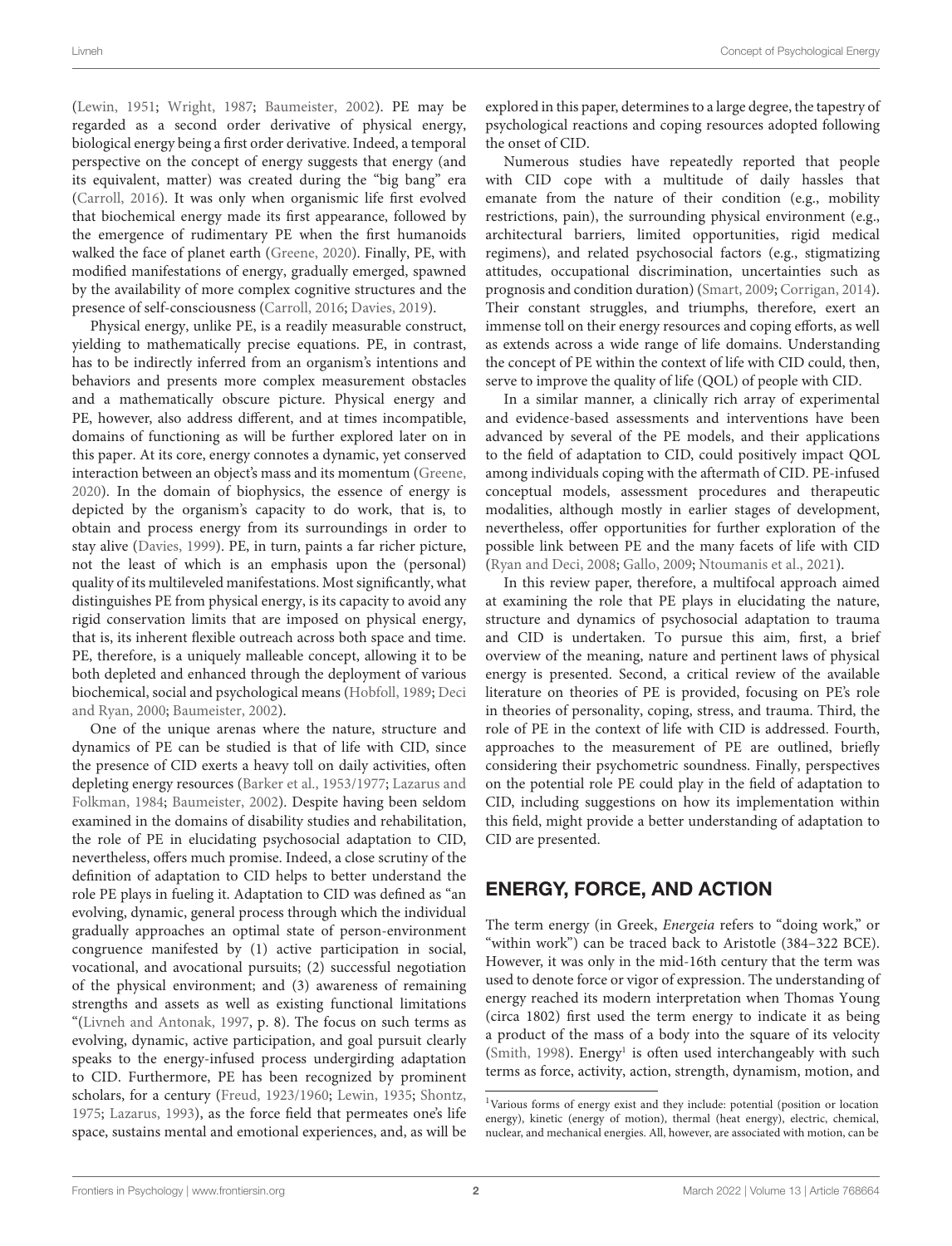[\(Lewin,](#page-17-1) [1951;](#page-17-1) [Wright,](#page-18-0) [1987;](#page-18-0) [Baumeister,](#page-15-1) [2002\)](#page-15-1). PE may be regarded as a second order derivative of physical energy, biological energy being a first order derivative. Indeed, a temporal perspective on the concept of energy suggests that energy (and its equivalent, matter) was created during the "big bang" era [\(Carroll,](#page-15-2) [2016\)](#page-15-2). It was only when organismic life first evolved that biochemical energy made its first appearance, followed by the emergence of rudimentary PE when the first humanoids walked the face of planet earth [\(Greene,](#page-16-0) [2020\)](#page-16-0). Finally, PE, with modified manifestations of energy, gradually emerged, spawned by the availability of more complex cognitive structures and the presence of self-consciousness [\(Carroll,](#page-15-2) [2016;](#page-15-2) [Davies,](#page-15-3) [2019\)](#page-15-3).

Physical energy, unlike PE, is a readily measurable construct, yielding to mathematically precise equations. PE, in contrast, has to be indirectly inferred from an organism's intentions and behaviors and presents more complex measurement obstacles and a mathematically obscure picture. Physical energy and PE, however, also address different, and at times incompatible, domains of functioning as will be further explored later on in this paper. At its core, energy connotes a dynamic, yet conserved interaction between an object's mass and its momentum [\(Greene,](#page-16-0) [2020\)](#page-16-0). In the domain of biophysics, the essence of energy is depicted by the organism's capacity to do work, that is, to obtain and process energy from its surroundings in order to stay alive [\(Davies,](#page-15-4) [1999\)](#page-15-4). PE, in turn, paints a far richer picture, not the least of which is an emphasis upon the (personal) quality of its multileveled manifestations. Most significantly, what distinguishes PE from physical energy, is its capacity to avoid any rigid conservation limits that are imposed on physical energy, that is, its inherent flexible outreach across both space and time. PE, therefore, is a uniquely malleable concept, allowing it to be both depleted and enhanced through the deployment of various biochemical, social and psychological means [\(Hobfoll,](#page-16-1) [1989;](#page-16-1) [Deci](#page-15-5) [and Ryan,](#page-15-5) [2000;](#page-15-5) [Baumeister,](#page-15-1) [2002\)](#page-15-1).

One of the unique arenas where the nature, structure and dynamics of PE can be studied is that of life with CID, since the presence of CID exerts a heavy toll on daily activities, often depleting energy resources [\(Barker et al.,](#page-15-6) [1953/1977;](#page-15-6) [Lazarus and](#page-16-2) [Folkman,](#page-16-2) [1984;](#page-16-2) [Baumeister,](#page-15-1) [2002\)](#page-15-1). Despite having been seldom examined in the domains of disability studies and rehabilitation, the role of PE in elucidating psychosocial adaptation to CID, nevertheless, offers much promise. Indeed, a close scrutiny of the definition of adaptation to CID helps to better understand the role PE plays in fueling it. Adaptation to CID was defined as "an evolving, dynamic, general process through which the individual gradually approaches an optimal state of person-environment congruence manifested by (1) active participation in social, vocational, and avocational pursuits; (2) successful negotiation of the physical environment; and (3) awareness of remaining strengths and assets as well as existing functional limitations "[\(Livneh and Antonak,](#page-17-2) [1997,](#page-17-2) p. 8). The focus on such terms as evolving, dynamic, active participation, and goal pursuit clearly speaks to the energy-infused process undergirding adaptation to CID. Furthermore, PE has been recognized by prominent scholars, for a century [\(Freud,](#page-16-3) [1923/1960;](#page-16-3) [Lewin,](#page-16-4) [1935;](#page-16-4) [Shontz,](#page-17-3) [1975;](#page-17-3) [Lazarus,](#page-16-5) [1993\)](#page-16-5), as the force field that permeates one's life space, sustains mental and emotional experiences, and, as will be explored in this paper, determines to a large degree, the tapestry of psychological reactions and coping resources adopted following the onset of CID.

Numerous studies have repeatedly reported that people with CID cope with a multitude of daily hassles that emanate from the nature of their condition (e.g., mobility restrictions, pain), the surrounding physical environment (e.g., architectural barriers, limited opportunities, rigid medical regimens), and related psychosocial factors (e.g., stigmatizing attitudes, occupational discrimination, uncertainties such as prognosis and condition duration) [\(Smart,](#page-17-4) [2009;](#page-17-4) [Corrigan,](#page-15-7) [2014\)](#page-15-7). Their constant struggles, and triumphs, therefore, exert an immense toll on their energy resources and coping efforts, as well as extends across a wide range of life domains. Understanding the concept of PE within the context of life with CID could, then, serve to improve the quality of life (QOL) of people with CID.

In a similar manner, a clinically rich array of experimental and evidence-based assessments and interventions have been advanced by several of the PE models, and their applications to the field of adaptation to CID, could positively impact QOL among individuals coping with the aftermath of CID. PE-infused conceptual models, assessment procedures and therapeutic modalities, although mostly in earlier stages of development, nevertheless, offer opportunities for further exploration of the possible link between PE and the many facets of life with CID [\(Ryan and Deci,](#page-17-0) [2008;](#page-17-0) [Gallo,](#page-16-6) [2009;](#page-16-6) [Ntoumanis et al.,](#page-17-5) [2021\)](#page-17-5).

In this review paper, therefore, a multifocal approach aimed at examining the role that PE plays in elucidating the nature, structure and dynamics of psychosocial adaptation to trauma and CID is undertaken. To pursue this aim, first, a brief overview of the meaning, nature and pertinent laws of physical energy is presented. Second, a critical review of the available literature on theories of PE is provided, focusing on PE's role in theories of personality, coping, stress, and trauma. Third, the role of PE in the context of life with CID is addressed. Fourth, approaches to the measurement of PE are outlined, briefly considering their psychometric soundness. Finally, perspectives on the potential role PE could play in the field of adaptation to CID, including suggestions on how its implementation within this field, might provide a better understanding of adaptation to CID are presented.

### ENERGY, FORCE, AND ACTION

The term energy (in Greek, Energeia refers to "doing work," or "within work") can be traced back to Aristotle (384–322 BCE). However, it was only in the mid-16th century that the term was used to denote force or vigor of expression. The understanding of energy reached its modern interpretation when Thomas Young (circa 1802) first used the term energy to indicate it as being a product of the mass of a body into the square of its velocity [\(Smith,](#page-17-6) [1998\)](#page-17-6). Energy<sup>[1](#page-2-0)</sup> is often used interchangeably with such terms as force, activity, action, strength, dynamism, motion, and

<span id="page-2-0"></span><sup>1</sup>Various forms of energy exist and they include: potential (position or location energy), kinetic (energy of motion), thermal (heat energy), electric, chemical, nuclear, and mechanical energies. All, however, are associated with motion, can be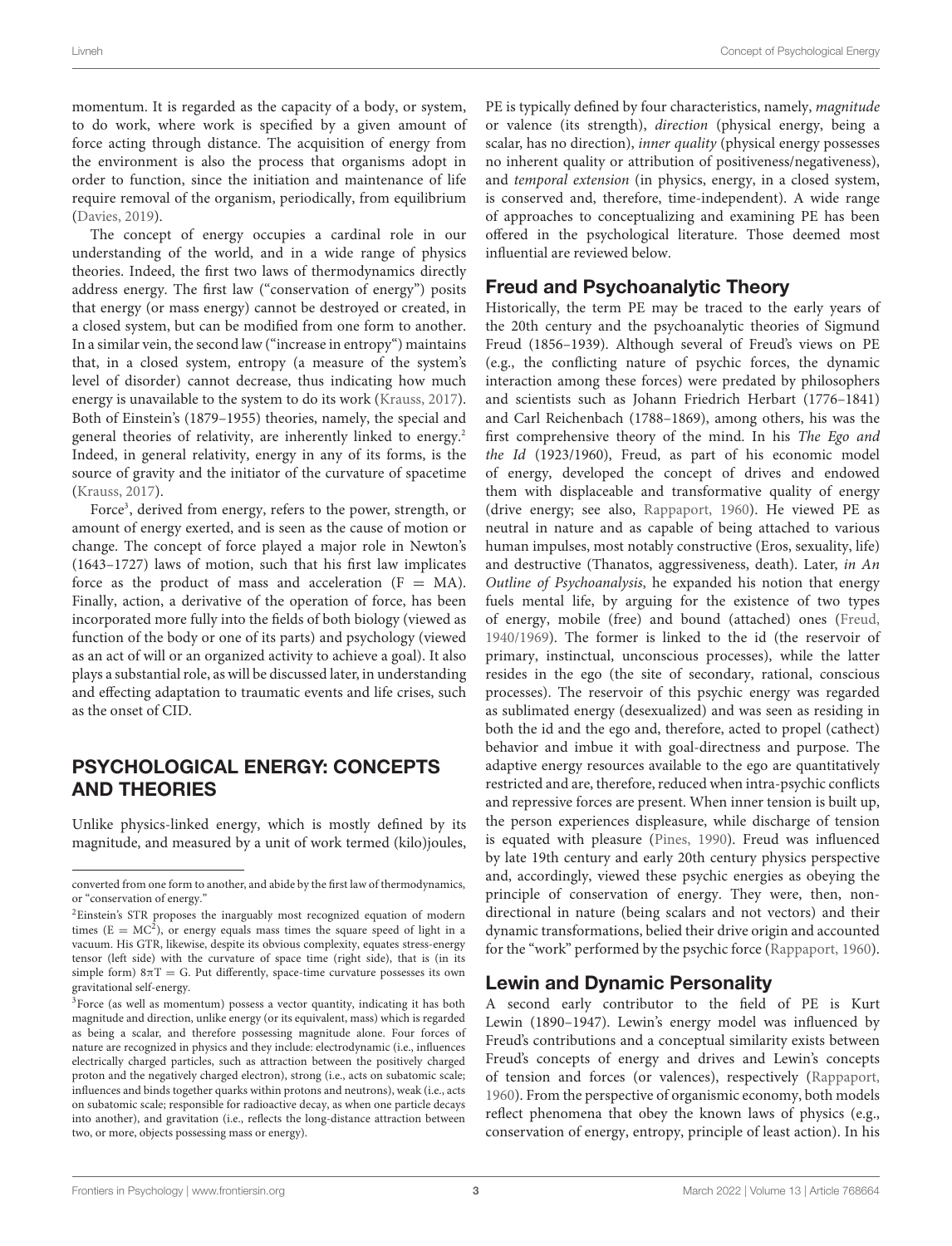momentum. It is regarded as the capacity of a body, or system, to do work, where work is specified by a given amount of force acting through distance. The acquisition of energy from the environment is also the process that organisms adopt in order to function, since the initiation and maintenance of life require removal of the organism, periodically, from equilibrium [\(Davies,](#page-15-3) [2019\)](#page-15-3).

The concept of energy occupies a cardinal role in our understanding of the world, and in a wide range of physics theories. Indeed, the first two laws of thermodynamics directly address energy. The first law ("conservation of energy") posits that energy (or mass energy) cannot be destroyed or created, in a closed system, but can be modified from one form to another. In a similar vein, the second law ("increase in entropy") maintains that, in a closed system, entropy (a measure of the system's level of disorder) cannot decrease, thus indicating how much energy is unavailable to the system to do its work [\(Krauss,](#page-16-7) [2017\)](#page-16-7). Both of Einstein's (1879–1955) theories, namely, the special and general theories of relativity, are inherently linked to energy.<sup>[2](#page-3-0)</sup> Indeed, in general relativity, energy in any of its forms, is the source of gravity and the initiator of the curvature of spacetime [\(Krauss,](#page-16-7) [2017\)](#page-16-7).

Force[3](#page-3-1) , derived from energy, refers to the power, strength, or amount of energy exerted, and is seen as the cause of motion or change. The concept of force played a major role in Newton's (1643–1727) laws of motion, such that his first law implicates force as the product of mass and acceleration  $(F = MA)$ . Finally, action, a derivative of the operation of force, has been incorporated more fully into the fields of both biology (viewed as function of the body or one of its parts) and psychology (viewed as an act of will or an organized activity to achieve a goal). It also plays a substantial role, as will be discussed later, in understanding and effecting adaptation to traumatic events and life crises, such as the onset of CID.

### PSYCHOLOGICAL ENERGY: CONCEPTS AND THEORIES

Unlike physics-linked energy, which is mostly defined by its magnitude, and measured by a unit of work termed (kilo)joules,

PE is typically defined by four characteristics, namely, magnitude or valence (its strength), direction (physical energy, being a scalar, has no direction), inner quality (physical energy possesses no inherent quality or attribution of positiveness/negativeness), and temporal extension (in physics, energy, in a closed system, is conserved and, therefore, time-independent). A wide range of approaches to conceptualizing and examining PE has been offered in the psychological literature. Those deemed most influential are reviewed below.

### Freud and Psychoanalytic Theory

Historically, the term PE may be traced to the early years of the 20th century and the psychoanalytic theories of Sigmund Freud (1856–1939). Although several of Freud's views on PE (e.g., the conflicting nature of psychic forces, the dynamic interaction among these forces) were predated by philosophers and scientists such as Johann Friedrich Herbart (1776–1841) and Carl Reichenbach (1788–1869), among others, his was the first comprehensive theory of the mind. In his The Ego and the Id (1923/1960), Freud, as part of his economic model of energy, developed the concept of drives and endowed them with displaceable and transformative quality of energy (drive energy; see also, [Rappaport,](#page-17-7) [1960\)](#page-17-7). He viewed PE as neutral in nature and as capable of being attached to various human impulses, most notably constructive (Eros, sexuality, life) and destructive (Thanatos, aggressiveness, death). Later, in An Outline of Psychoanalysis, he expanded his notion that energy fuels mental life, by arguing for the existence of two types of energy, mobile (free) and bound (attached) ones [\(Freud,](#page-16-8) [1940/1969\)](#page-16-8). The former is linked to the id (the reservoir of primary, instinctual, unconscious processes), while the latter resides in the ego (the site of secondary, rational, conscious processes). The reservoir of this psychic energy was regarded as sublimated energy (desexualized) and was seen as residing in both the id and the ego and, therefore, acted to propel (cathect) behavior and imbue it with goal-directness and purpose. The adaptive energy resources available to the ego are quantitatively restricted and are, therefore, reduced when intra-psychic conflicts and repressive forces are present. When inner tension is built up, the person experiences displeasure, while discharge of tension is equated with pleasure [\(Pines,](#page-17-8) [1990\)](#page-17-8). Freud was influenced by late 19th century and early 20th century physics perspective and, accordingly, viewed these psychic energies as obeying the principle of conservation of energy. They were, then, nondirectional in nature (being scalars and not vectors) and their dynamic transformations, belied their drive origin and accounted for the "work" performed by the psychic force [\(Rappaport,](#page-17-7) [1960\)](#page-17-7).

### Lewin and Dynamic Personality

A second early contributor to the field of PE is Kurt Lewin (1890–1947). Lewin's energy model was influenced by Freud's contributions and a conceptual similarity exists between Freud's concepts of energy and drives and Lewin's concepts of tension and forces (or valences), respectively [\(Rappaport,](#page-17-7) [1960\)](#page-17-7). From the perspective of organismic economy, both models reflect phenomena that obey the known laws of physics (e.g., conservation of energy, entropy, principle of least action). In his

converted from one form to another, and abide by the first law of thermodynamics, or "conservation of energy."

<span id="page-3-0"></span><sup>&</sup>lt;sup>2</sup>Einstein's STR proposes the inarguably most recognized equation of modern times ( $E = MC<sup>2</sup>$ ), or energy equals mass times the square speed of light in a vacuum. His GTR, likewise, despite its obvious complexity, equates stress-energy tensor (left side) with the curvature of space time (right side), that is (in its simple form)  $8\pi$ T = G. Put differently, space-time curvature possesses its own gravitational self-energy.

<span id="page-3-1"></span><sup>&</sup>lt;sup>3</sup>Force (as well as momentum) possess a vector quantity, indicating it has both magnitude and direction, unlike energy (or its equivalent, mass) which is regarded as being a scalar, and therefore possessing magnitude alone. Four forces of nature are recognized in physics and they include: electrodynamic (i.e., influences electrically charged particles, such as attraction between the positively charged proton and the negatively charged electron), strong (i.e., acts on subatomic scale; influences and binds together quarks within protons and neutrons), weak (i.e., acts on subatomic scale; responsible for radioactive decay, as when one particle decays into another), and gravitation (i.e., reflects the long-distance attraction between two, or more, objects possessing mass or energy).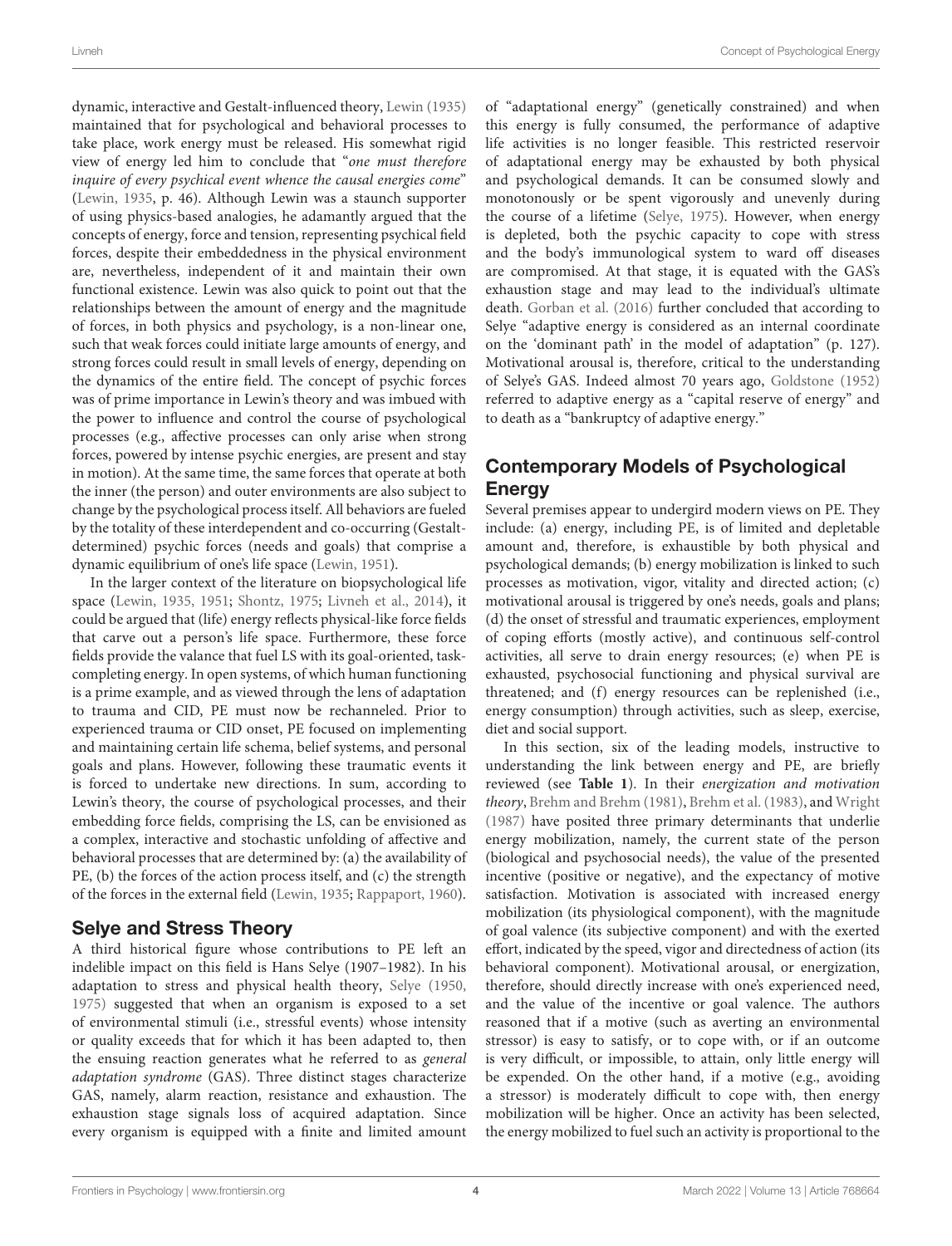dynamic, interactive and Gestalt-influenced theory, [Lewin](#page-16-4) [\(1935\)](#page-16-4) maintained that for psychological and behavioral processes to take place, work energy must be released. His somewhat rigid view of energy led him to conclude that "one must therefore inquire of every psychical event whence the causal energies come" [\(Lewin,](#page-16-4) [1935,](#page-16-4) p. 46). Although Lewin was a staunch supporter of using physics-based analogies, he adamantly argued that the concepts of energy, force and tension, representing psychical field forces, despite their embeddedness in the physical environment are, nevertheless, independent of it and maintain their own functional existence. Lewin was also quick to point out that the relationships between the amount of energy and the magnitude of forces, in both physics and psychology, is a non-linear one, such that weak forces could initiate large amounts of energy, and strong forces could result in small levels of energy, depending on the dynamics of the entire field. The concept of psychic forces was of prime importance in Lewin's theory and was imbued with the power to influence and control the course of psychological processes (e.g., affective processes can only arise when strong forces, powered by intense psychic energies, are present and stay in motion). At the same time, the same forces that operate at both the inner (the person) and outer environments are also subject to change by the psychological process itself. All behaviors are fueled by the totality of these interdependent and co-occurring (Gestaltdetermined) psychic forces (needs and goals) that comprise a dynamic equilibrium of one's life space [\(Lewin,](#page-17-1) [1951\)](#page-17-1).

In the larger context of the literature on biopsychological life space [\(Lewin,](#page-16-4) [1935,](#page-16-4) [1951;](#page-17-1) [Shontz,](#page-17-3) [1975;](#page-17-3) [Livneh et al.,](#page-17-9) [2014\)](#page-17-9), it could be argued that (life) energy reflects physical-like force fields that carve out a person's life space. Furthermore, these force fields provide the valance that fuel LS with its goal-oriented, taskcompleting energy. In open systems, of which human functioning is a prime example, and as viewed through the lens of adaptation to trauma and CID, PE must now be rechanneled. Prior to experienced trauma or CID onset, PE focused on implementing and maintaining certain life schema, belief systems, and personal goals and plans. However, following these traumatic events it is forced to undertake new directions. In sum, according to Lewin's theory, the course of psychological processes, and their embedding force fields, comprising the LS, can be envisioned as a complex, interactive and stochastic unfolding of affective and behavioral processes that are determined by: (a) the availability of PE, (b) the forces of the action process itself, and (c) the strength of the forces in the external field [\(Lewin,](#page-16-4) [1935;](#page-16-4) [Rappaport,](#page-17-7) [1960\)](#page-17-7).

# Selye and Stress Theory

A third historical figure whose contributions to PE left an indelible impact on this field is Hans Selye (1907–1982). In his adaptation to stress and physical health theory, [Selye](#page-17-10) [\(1950,](#page-17-10) [1975\)](#page-17-11) suggested that when an organism is exposed to a set of environmental stimuli (i.e., stressful events) whose intensity or quality exceeds that for which it has been adapted to, then the ensuing reaction generates what he referred to as general adaptation syndrome (GAS). Three distinct stages characterize GAS, namely, alarm reaction, resistance and exhaustion. The exhaustion stage signals loss of acquired adaptation. Since every organism is equipped with a finite and limited amount

of "adaptational energy" (genetically constrained) and when this energy is fully consumed, the performance of adaptive life activities is no longer feasible. This restricted reservoir of adaptational energy may be exhausted by both physical and psychological demands. It can be consumed slowly and monotonously or be spent vigorously and unevenly during the course of a lifetime [\(Selye,](#page-17-11) [1975\)](#page-17-11). However, when energy is depleted, both the psychic capacity to cope with stress and the body's immunological system to ward off diseases are compromised. At that stage, it is equated with the GAS's exhaustion stage and may lead to the individual's ultimate death. [Gorban et al.](#page-16-9) [\(2016\)](#page-16-9) further concluded that according to Selye "adaptive energy is considered as an internal coordinate on the 'dominant path' in the model of adaptation" (p. 127). Motivational arousal is, therefore, critical to the understanding of Selye's GAS. Indeed almost 70 years ago, [Goldstone](#page-16-10) [\(1952\)](#page-16-10) referred to adaptive energy as a "capital reserve of energy" and to death as a "bankruptcy of adaptive energy."

# Contemporary Models of Psychological **Energy**

Several premises appear to undergird modern views on PE. They include: (a) energy, including PE, is of limited and depletable amount and, therefore, is exhaustible by both physical and psychological demands; (b) energy mobilization is linked to such processes as motivation, vigor, vitality and directed action; (c) motivational arousal is triggered by one's needs, goals and plans; (d) the onset of stressful and traumatic experiences, employment of coping efforts (mostly active), and continuous self-control activities, all serve to drain energy resources; (e) when PE is exhausted, psychosocial functioning and physical survival are threatened; and (f) energy resources can be replenished (i.e., energy consumption) through activities, such as sleep, exercise, diet and social support.

In this section, six of the leading models, instructive to understanding the link between energy and PE, are briefly reviewed (see **[Table 1](#page-5-0)**). In their energization and motivation theory, [Brehm and Brehm](#page-15-8) [\(1981\)](#page-15-8), [Brehm et al.](#page-15-9) [\(1983\)](#page-15-9), and [Wright](#page-18-0) [\(1987\)](#page-18-0) have posited three primary determinants that underlie energy mobilization, namely, the current state of the person (biological and psychosocial needs), the value of the presented incentive (positive or negative), and the expectancy of motive satisfaction. Motivation is associated with increased energy mobilization (its physiological component), with the magnitude of goal valence (its subjective component) and with the exerted effort, indicated by the speed, vigor and directedness of action (its behavioral component). Motivational arousal, or energization, therefore, should directly increase with one's experienced need, and the value of the incentive or goal valence. The authors reasoned that if a motive (such as averting an environmental stressor) is easy to satisfy, or to cope with, or if an outcome is very difficult, or impossible, to attain, only little energy will be expended. On the other hand, if a motive (e.g., avoiding a stressor) is moderately difficult to cope with, then energy mobilization will be higher. Once an activity has been selected, the energy mobilized to fuel such an activity is proportional to the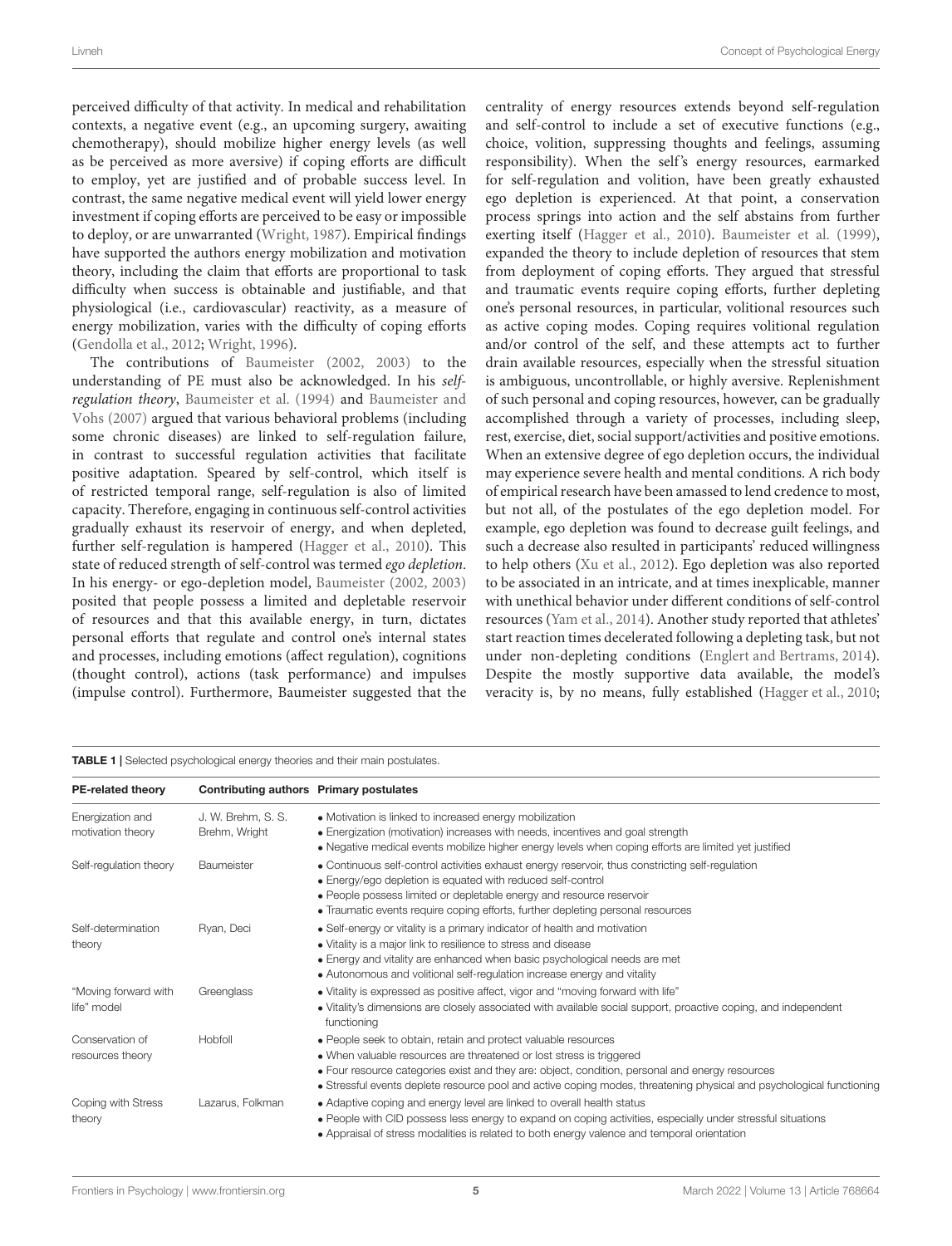perceived difficulty of that activity. In medical and rehabilitation contexts, a negative event (e.g., an upcoming surgery, awaiting chemotherapy), should mobilize higher energy levels (as well as be perceived as more aversive) if coping efforts are difficult to employ, yet are justified and of probable success level. In contrast, the same negative medical event will yield lower energy investment if coping efforts are perceived to be easy or impossible to deploy, or are unwarranted [\(Wright,](#page-18-0) [1987\)](#page-18-0). Empirical findings have supported the authors energy mobilization and motivation theory, including the claim that efforts are proportional to task difficulty when success is obtainable and justifiable, and that physiological (i.e., cardiovascular) reactivity, as a measure of energy mobilization, varies with the difficulty of coping efforts [\(Gendolla et al.,](#page-16-11) [2012;](#page-16-11) [Wright,](#page-18-1) [1996\)](#page-18-1).

The contributions of [Baumeister](#page-15-1) [\(2002,](#page-15-1) [2003\)](#page-15-10) to the understanding of PE must also be acknowledged. In his selfregulation theory, [Baumeister et al.](#page-15-11) [\(1994\)](#page-15-11) and [Baumeister and](#page-15-0) [Vohs](#page-15-0) [\(2007\)](#page-15-0) argued that various behavioral problems (including some chronic diseases) are linked to self-regulation failure, in contrast to successful regulation activities that facilitate positive adaptation. Speared by self-control, which itself is of restricted temporal range, self-regulation is also of limited capacity. Therefore, engaging in continuous self-control activities gradually exhaust its reservoir of energy, and when depleted, further self-regulation is hampered [\(Hagger et al.,](#page-16-12) [2010\)](#page-16-12). This state of reduced strength of self-control was termed ego depletion. In his energy- or ego-depletion model, [Baumeister](#page-15-1) [\(2002,](#page-15-1) [2003\)](#page-15-10) posited that people possess a limited and depletable reservoir of resources and that this available energy, in turn, dictates personal efforts that regulate and control one's internal states and processes, including emotions (affect regulation), cognitions (thought control), actions (task performance) and impulses (impulse control). Furthermore, Baumeister suggested that the centrality of energy resources extends beyond self-regulation and self-control to include a set of executive functions (e.g., choice, volition, suppressing thoughts and feelings, assuming responsibility). When the self's energy resources, earmarked for self-regulation and volition, have been greatly exhausted ego depletion is experienced. At that point, a conservation process springs into action and the self abstains from further exerting itself [\(Hagger et al.,](#page-16-12) [2010\)](#page-16-12). [Baumeister et al.](#page-15-12) [\(1999\)](#page-15-12), expanded the theory to include depletion of resources that stem from deployment of coping efforts. They argued that stressful and traumatic events require coping efforts, further depleting one's personal resources, in particular, volitional resources such as active coping modes. Coping requires volitional regulation and/or control of the self, and these attempts act to further drain available resources, especially when the stressful situation is ambiguous, uncontrollable, or highly aversive. Replenishment of such personal and coping resources, however, can be gradually accomplished through a variety of processes, including sleep, rest, exercise, diet, social support/activities and positive emotions. When an extensive degree of ego depletion occurs, the individual may experience severe health and mental conditions. A rich body of empirical research have been amassed to lend credence to most, but not all, of the postulates of the ego depletion model. For example, ego depletion was found to decrease guilt feelings, and such a decrease also resulted in participants' reduced willingness to help others [\(Xu et al.,](#page-18-2) [2012\)](#page-18-2). Ego depletion was also reported to be associated in an intricate, and at times inexplicable, manner with unethical behavior under different conditions of self-control resources [\(Yam et al.,](#page-18-3) [2014\)](#page-18-3). Another study reported that athletes' start reaction times decelerated following a depleting task, but not under non-depleting conditions [\(Englert and Bertrams,](#page-16-13) [2014\)](#page-16-13). Despite the mostly supportive data available, the model's veracity is, by no means, fully established [\(Hagger et al.,](#page-16-12) [2010;](#page-16-12)

| <b>PE-related theory</b>              | Contributing authors Primary postulates |                                                                                                                                                                                                                                                                                                                                                                   |  |  |
|---------------------------------------|-----------------------------------------|-------------------------------------------------------------------------------------------------------------------------------------------------------------------------------------------------------------------------------------------------------------------------------------------------------------------------------------------------------------------|--|--|
| Energization and<br>motivation theory | J. W. Brehm, S. S.<br>Brehm, Wright     | • Motivation is linked to increased energy mobilization<br>• Energization (motivation) increases with needs, incentives and goal strength<br>• Negative medical events mobilize higher energy levels when coping efforts are limited yet justified                                                                                                                |  |  |
| Self-regulation theory                | Baumeister                              | • Continuous self-control activities exhaust energy reservoir, thus constricting self-regulation<br>• Energy/ego depletion is equated with reduced self-control<br>• People possess limited or depletable energy and resource reservoir<br>• Traumatic events require coping efforts, further depleting personal resources                                        |  |  |
| Self-determination<br>theory          | Ryan, Deci                              | • Self-energy or vitality is a primary indicator of health and motivation<br>• Vitality is a major link to resilience to stress and disease<br>• Energy and vitality are enhanced when basic psychological needs are met<br>• Autonomous and volitional self-regulation increase energy and vitality                                                              |  |  |
| "Moving forward with<br>life" model   | Greenglass                              | • Vitality is expressed as positive affect, vigor and "moving forward with life"<br>• Vitality's dimensions are closely associated with available social support, proactive coping, and independent<br>functioning                                                                                                                                                |  |  |
| Conservation of<br>resources theory   | Hobfoll                                 | • People seek to obtain, retain and protect valuable resources<br>• When valuable resources are threatened or lost stress is triggered<br>• Four resource categories exist and they are: object, condition, personal and energy resources<br>• Stressful events deplete resource pool and active coping modes, threatening physical and psychological functioning |  |  |
| Coping with Stress<br>theory          | Lazarus, Folkman                        | • Adaptive coping and energy level are linked to overall health status<br>• People with CID possess less energy to expand on coping activities, especially under stressful situations<br>• Appraisal of stress modalities is related to both energy valence and temporal orientation                                                                              |  |  |

<span id="page-5-0"></span>**TABLE 1** | Selected psychological energy theories and their main postulates.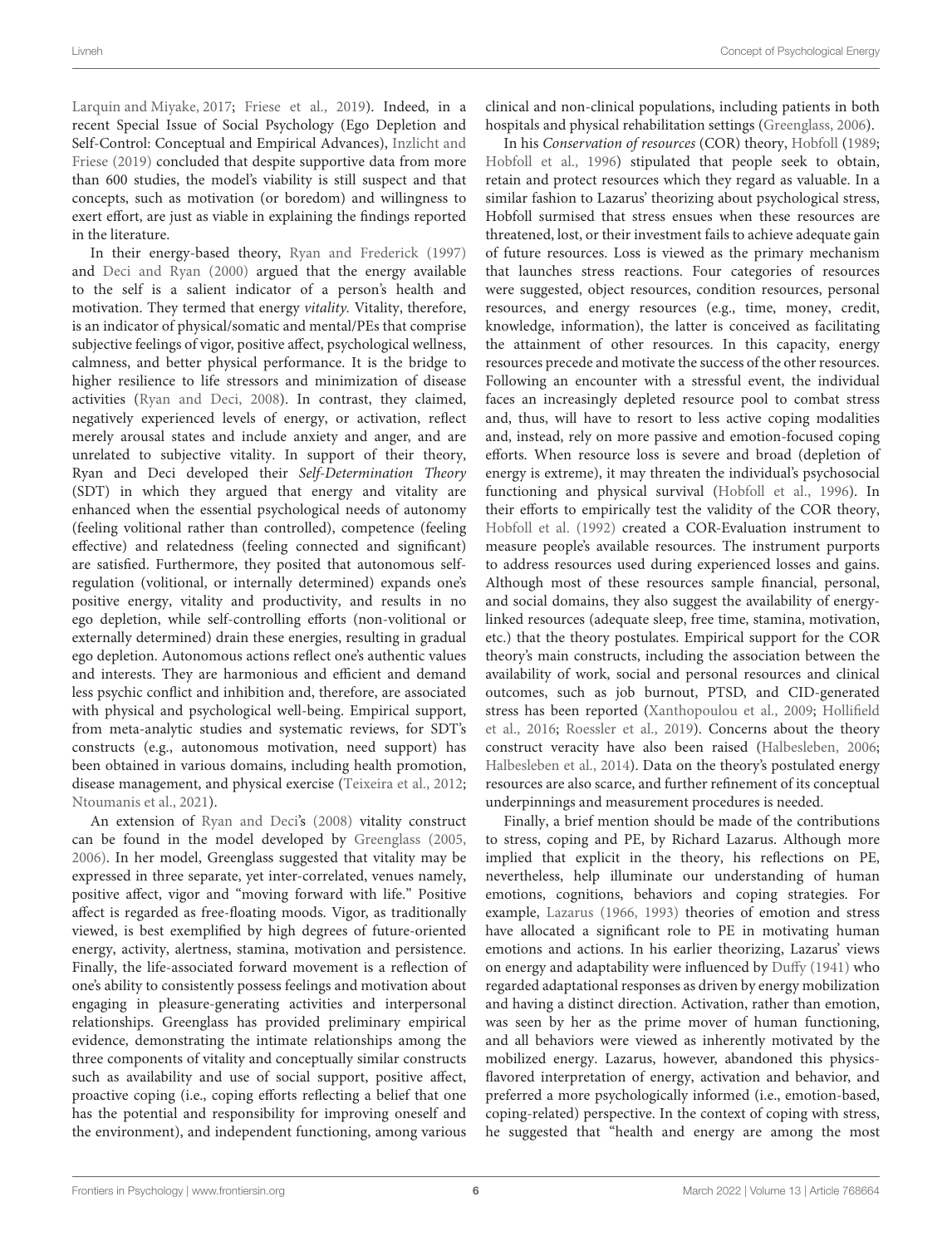[Larquin and Miyake,](#page-16-14) [2017;](#page-16-14) [Friese et al.,](#page-16-15) [2019\)](#page-16-15). Indeed, in a recent Special Issue of Social Psychology (Ego Depletion and Self-Control: Conceptual and Empirical Advances), [Inzlicht and](#page-16-16) [Friese](#page-16-16) [\(2019\)](#page-16-16) concluded that despite supportive data from more than 600 studies, the model's viability is still suspect and that concepts, such as motivation (or boredom) and willingness to exert effort, are just as viable in explaining the findings reported in the literature.

In their energy-based theory, [Ryan and Frederick](#page-17-12) [\(1997\)](#page-17-12) and [Deci and Ryan](#page-15-5) [\(2000\)](#page-15-5) argued that the energy available to the self is a salient indicator of a person's health and motivation. They termed that energy vitality. Vitality, therefore, is an indicator of physical/somatic and mental/PEs that comprise subjective feelings of vigor, positive affect, psychological wellness, calmness, and better physical performance. It is the bridge to higher resilience to life stressors and minimization of disease activities [\(Ryan and Deci,](#page-17-0) [2008\)](#page-17-0). In contrast, they claimed, negatively experienced levels of energy, or activation, reflect merely arousal states and include anxiety and anger, and are unrelated to subjective vitality. In support of their theory, Ryan and Deci developed their Self-Determination Theory (SDT) in which they argued that energy and vitality are enhanced when the essential psychological needs of autonomy (feeling volitional rather than controlled), competence (feeling effective) and relatedness (feeling connected and significant) are satisfied. Furthermore, they posited that autonomous selfregulation (volitional, or internally determined) expands one's positive energy, vitality and productivity, and results in no ego depletion, while self-controlling efforts (non-volitional or externally determined) drain these energies, resulting in gradual ego depletion. Autonomous actions reflect one's authentic values and interests. They are harmonious and efficient and demand less psychic conflict and inhibition and, therefore, are associated with physical and psychological well-being. Empirical support, from meta-analytic studies and systematic reviews, for SDT's constructs (e.g., autonomous motivation, need support) has been obtained in various domains, including health promotion, disease management, and physical exercise [\(Teixeira et al.,](#page-17-13) [2012;](#page-17-13) [Ntoumanis et al.,](#page-17-5) [2021\)](#page-17-5).

An extension of [Ryan and Deci's](#page-17-0) [\(2008\)](#page-17-0) vitality construct can be found in the model developed by [Greenglass](#page-16-17) [\(2005,](#page-16-17) [2006\)](#page-16-18). In her model, Greenglass suggested that vitality may be expressed in three separate, yet inter-correlated, venues namely, positive affect, vigor and "moving forward with life." Positive affect is regarded as free-floating moods. Vigor, as traditionally viewed, is best exemplified by high degrees of future-oriented energy, activity, alertness, stamina, motivation and persistence. Finally, the life-associated forward movement is a reflection of one's ability to consistently possess feelings and motivation about engaging in pleasure-generating activities and interpersonal relationships. Greenglass has provided preliminary empirical evidence, demonstrating the intimate relationships among the three components of vitality and conceptually similar constructs such as availability and use of social support, positive affect, proactive coping (i.e., coping efforts reflecting a belief that one has the potential and responsibility for improving oneself and the environment), and independent functioning, among various clinical and non-clinical populations, including patients in both hospitals and physical rehabilitation settings [\(Greenglass,](#page-16-18) [2006\)](#page-16-18).

In his Conservation of resources (COR) theory, [Hobfoll](#page-16-1) [\(1989;](#page-16-1) [Hobfoll et al.,](#page-16-19) [1996\)](#page-16-19) stipulated that people seek to obtain, retain and protect resources which they regard as valuable. In a similar fashion to Lazarus' theorizing about psychological stress, Hobfoll surmised that stress ensues when these resources are threatened, lost, or their investment fails to achieve adequate gain of future resources. Loss is viewed as the primary mechanism that launches stress reactions. Four categories of resources were suggested, object resources, condition resources, personal resources, and energy resources (e.g., time, money, credit, knowledge, information), the latter is conceived as facilitating the attainment of other resources. In this capacity, energy resources precede and motivate the success of the other resources. Following an encounter with a stressful event, the individual faces an increasingly depleted resource pool to combat stress and, thus, will have to resort to less active coping modalities and, instead, rely on more passive and emotion-focused coping efforts. When resource loss is severe and broad (depletion of energy is extreme), it may threaten the individual's psychosocial functioning and physical survival [\(Hobfoll et al.,](#page-16-19) [1996\)](#page-16-19). In their efforts to empirically test the validity of the COR theory, [Hobfoll et al.](#page-16-20) [\(1992\)](#page-16-20) created a COR-Evaluation instrument to measure people's available resources. The instrument purports to address resources used during experienced losses and gains. Although most of these resources sample financial, personal, and social domains, they also suggest the availability of energylinked resources (adequate sleep, free time, stamina, motivation, etc.) that the theory postulates. Empirical support for the COR theory's main constructs, including the association between the availability of work, social and personal resources and clinical outcomes, such as job burnout, PTSD, and CID-generated stress has been reported [\(Xanthopoulou et al.,](#page-18-4) [2009;](#page-18-4) [Hollifield](#page-16-21) [et al.,](#page-16-21) [2016;](#page-16-21) [Roessler et al.,](#page-17-14) [2019\)](#page-17-14). Concerns about the theory construct veracity have also been raised [\(Halbesleben,](#page-16-22) [2006;](#page-16-22) [Halbesleben et al.,](#page-16-23) [2014\)](#page-16-23). Data on the theory's postulated energy resources are also scarce, and further refinement of its conceptual underpinnings and measurement procedures is needed.

Finally, a brief mention should be made of the contributions to stress, coping and PE, by Richard Lazarus. Although more implied that explicit in the theory, his reflections on PE, nevertheless, help illuminate our understanding of human emotions, cognitions, behaviors and coping strategies. For example, [Lazarus](#page-16-24) [\(1966,](#page-16-24) [1993\)](#page-16-5) theories of emotion and stress have allocated a significant role to PE in motivating human emotions and actions. In his earlier theorizing, Lazarus' views on energy and adaptability were influenced by [Duffy](#page-16-25) [\(1941\)](#page-16-25) who regarded adaptational responses as driven by energy mobilization and having a distinct direction. Activation, rather than emotion, was seen by her as the prime mover of human functioning, and all behaviors were viewed as inherently motivated by the mobilized energy. Lazarus, however, abandoned this physicsflavored interpretation of energy, activation and behavior, and preferred a more psychologically informed (i.e., emotion-based, coping-related) perspective. In the context of coping with stress, he suggested that "health and energy are among the most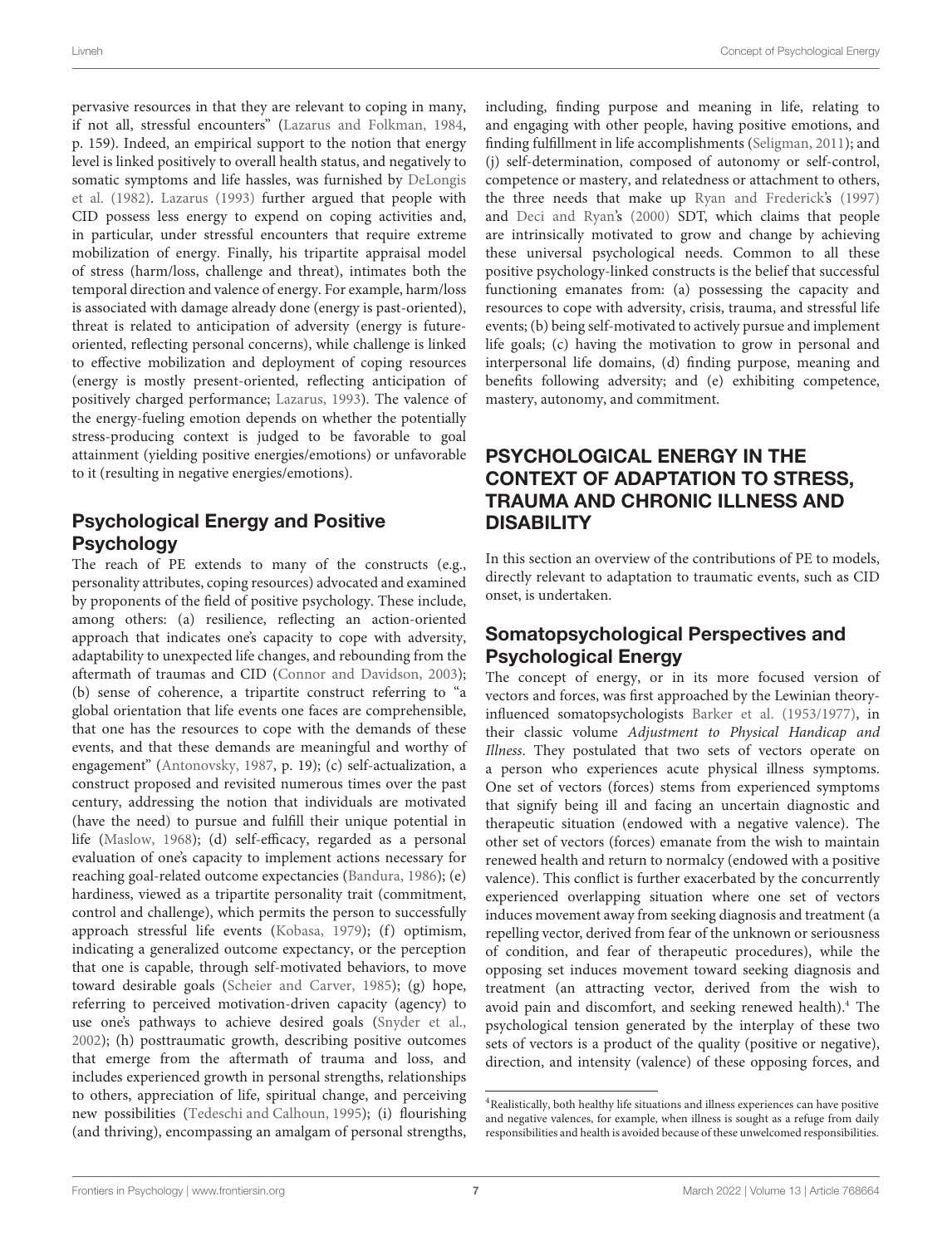pervasive resources in that they are relevant to coping in many, if not all, stressful encounters" [\(Lazarus and Folkman,](#page-16-2) [1984,](#page-16-2) p. 159). Indeed, an empirical support to the notion that energy level is linked positively to overall health status, and negatively to somatic symptoms and life hassles, was furnished by [DeLongis](#page-15-13) [et al.](#page-15-13) [\(1982\)](#page-15-13). [Lazarus](#page-16-5) [\(1993\)](#page-16-5) further argued that people with CID possess less energy to expend on coping activities and, in particular, under stressful encounters that require extreme mobilization of energy. Finally, his tripartite appraisal model of stress (harm/loss, challenge and threat), intimates both the temporal direction and valence of energy. For example, harm/loss is associated with damage already done (energy is past-oriented), threat is related to anticipation of adversity (energy is futureoriented, reflecting personal concerns), while challenge is linked to effective mobilization and deployment of coping resources (energy is mostly present-oriented, reflecting anticipation of positively charged performance; [Lazarus,](#page-16-5) [1993\)](#page-16-5). The valence of the energy-fueling emotion depends on whether the potentially stress-producing context is judged to be favorable to goal attainment (yielding positive energies/emotions) or unfavorable to it (resulting in negative energies/emotions).

# Psychological Energy and Positive **Psychology**

The reach of PE extends to many of the constructs (e.g., personality attributes, coping resources) advocated and examined by proponents of the field of positive psychology. These include, among others: (a) resilience, reflecting an action-oriented approach that indicates one's capacity to cope with adversity, adaptability to unexpected life changes, and rebounding from the aftermath of traumas and CID [\(Connor and Davidson,](#page-15-14) [2003\)](#page-15-14); (b) sense of coherence, a tripartite construct referring to "a global orientation that life events one faces are comprehensible, that one has the resources to cope with the demands of these events, and that these demands are meaningful and worthy of engagement" [\(Antonovsky,](#page-15-15) [1987,](#page-15-15) p. 19); (c) self-actualization, a construct proposed and revisited numerous times over the past century, addressing the notion that individuals are motivated (have the need) to pursue and fulfill their unique potential in life [\(Maslow,](#page-17-15) [1968\)](#page-17-15); (d) self-efficacy, regarded as a personal evaluation of one's capacity to implement actions necessary for reaching goal-related outcome expectancies [\(Bandura,](#page-15-16) [1986\)](#page-15-16); (e) hardiness, viewed as a tripartite personality trait (commitment, control and challenge), which permits the person to successfully approach stressful life events [\(Kobasa,](#page-16-26) [1979\)](#page-16-26); (f) optimism, indicating a generalized outcome expectancy, or the perception that one is capable, through self-motivated behaviors, to move toward desirable goals [\(Scheier and Carver,](#page-17-16) [1985\)](#page-17-16); (g) hope, referring to perceived motivation-driven capacity (agency) to use one's pathways to achieve desired goals [\(Snyder et al.,](#page-17-17) [2002\)](#page-17-17); (h) posttraumatic growth, describing positive outcomes that emerge from the aftermath of trauma and loss, and includes experienced growth in personal strengths, relationships to others, appreciation of life, spiritual change, and perceiving new possibilities [\(Tedeschi and Calhoun,](#page-17-18) [1995\)](#page-17-18); (i) flourishing (and thriving), encompassing an amalgam of personal strengths,

including, finding purpose and meaning in life, relating to and engaging with other people, having positive emotions, and finding fulfillment in life accomplishments [\(Seligman,](#page-17-19) [2011\)](#page-17-19); and (j) self-determination, composed of autonomy or self-control, competence or mastery, and relatedness or attachment to others, the three needs that make up [Ryan and Frederick's](#page-17-12) [\(1997\)](#page-17-12) and [Deci and Ryan's](#page-15-5) [\(2000\)](#page-15-5) SDT, which claims that people are intrinsically motivated to grow and change by achieving these universal psychological needs. Common to all these positive psychology-linked constructs is the belief that successful functioning emanates from: (a) possessing the capacity and resources to cope with adversity, crisis, trauma, and stressful life events; (b) being self-motivated to actively pursue and implement life goals; (c) having the motivation to grow in personal and interpersonal life domains, (d) finding purpose, meaning and benefits following adversity; and (e) exhibiting competence, mastery, autonomy, and commitment.

# PSYCHOLOGICAL ENERGY IN THE CONTEXT OF ADAPTATION TO STRESS, TRAUMA AND CHRONIC ILLNESS AND **DISABILITY**

In this section an overview of the contributions of PE to models, directly relevant to adaptation to traumatic events, such as CID onset, is undertaken.

# Somatopsychological Perspectives and Psychological Energy

The concept of energy, or in its more focused version of vectors and forces, was first approached by the Lewinian theoryinfluenced somatopsychologists [Barker et al.](#page-15-6) [\(1953/1977\)](#page-15-6), in their classic volume Adjustment to Physical Handicap and Illness. They postulated that two sets of vectors operate on a person who experiences acute physical illness symptoms. One set of vectors (forces) stems from experienced symptoms that signify being ill and facing an uncertain diagnostic and therapeutic situation (endowed with a negative valence). The other set of vectors (forces) emanate from the wish to maintain renewed health and return to normalcy (endowed with a positive valence). This conflict is further exacerbated by the concurrently experienced overlapping situation where one set of vectors induces movement away from seeking diagnosis and treatment (a repelling vector, derived from fear of the unknown or seriousness of condition, and fear of therapeutic procedures), while the opposing set induces movement toward seeking diagnosis and treatment (an attracting vector, derived from the wish to avoid pain and discomfort, and seeking renewed health).<sup>[4](#page-7-0)</sup> The psychological tension generated by the interplay of these two sets of vectors is a product of the quality (positive or negative), direction, and intensity (valence) of these opposing forces, and

<span id="page-7-0"></span><sup>4</sup>Realistically, both healthy life situations and illness experiences can have positive and negative valences, for example, when illness is sought as a refuge from daily responsibilities and health is avoided because of these unwelcomed responsibilities.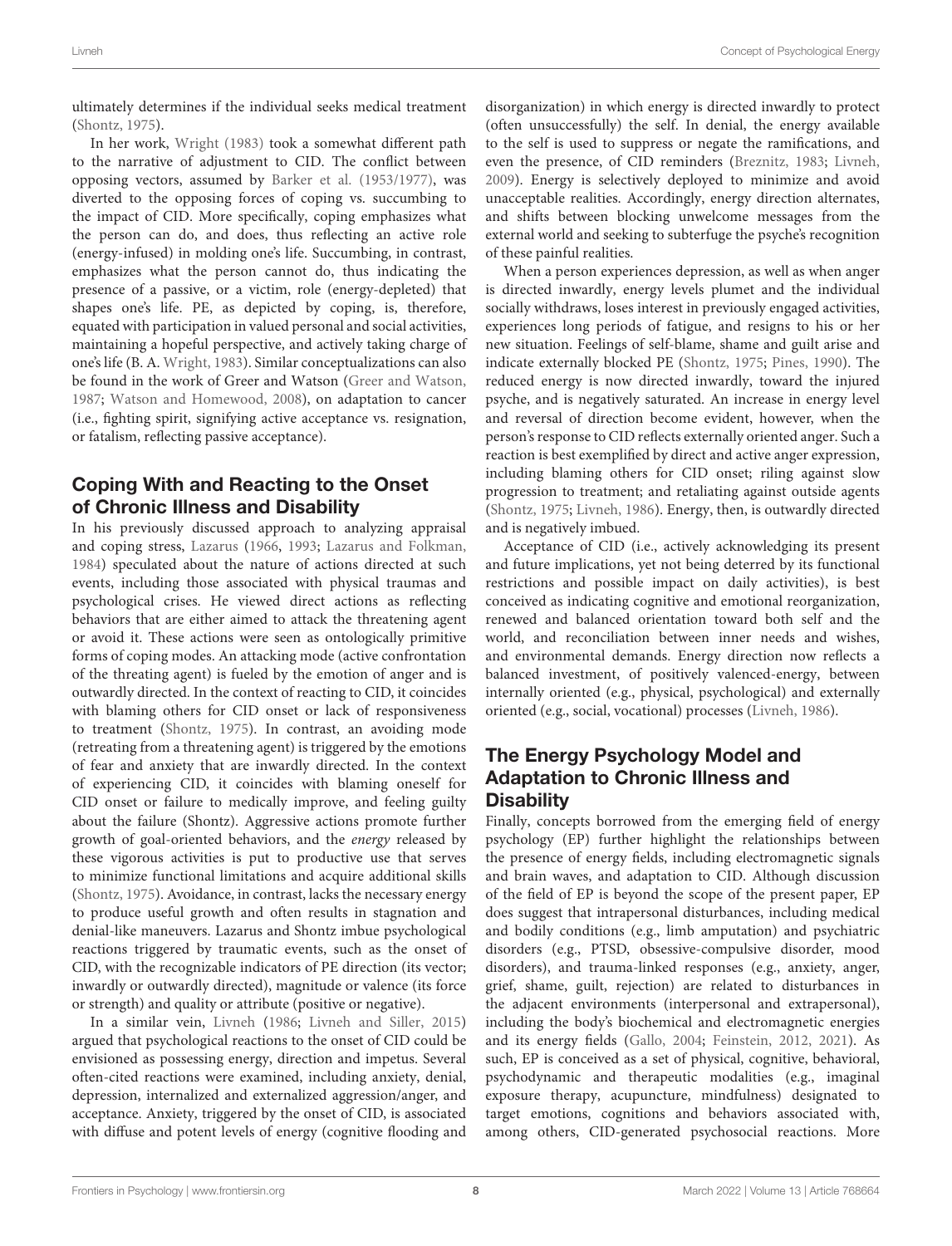ultimately determines if the individual seeks medical treatment [\(Shontz,](#page-17-3) [1975\)](#page-17-3).

In her work, [Wright](#page-18-5) [\(1983\)](#page-18-5) took a somewhat different path to the narrative of adjustment to CID. The conflict between opposing vectors, assumed by [Barker et al.](#page-15-6) [\(1953/1977\)](#page-15-6), was diverted to the opposing forces of coping vs. succumbing to the impact of CID. More specifically, coping emphasizes what the person can do, and does, thus reflecting an active role (energy-infused) in molding one's life. Succumbing, in contrast, emphasizes what the person cannot do, thus indicating the presence of a passive, or a victim, role (energy-depleted) that shapes one's life. PE, as depicted by coping, is, therefore, equated with participation in valued personal and social activities, maintaining a hopeful perspective, and actively taking charge of one's life (B. A. [Wright,](#page-18-5) [1983\)](#page-18-5). Similar conceptualizations can also be found in the work of Greer and Watson [\(Greer and Watson,](#page-16-27) [1987;](#page-16-27) [Watson and Homewood,](#page-17-20) [2008\)](#page-17-20), on adaptation to cancer (i.e., fighting spirit, signifying active acceptance vs. resignation, or fatalism, reflecting passive acceptance).

# Coping With and Reacting to the Onset of Chronic Illness and Disability

In his previously discussed approach to analyzing appraisal and coping stress, [Lazarus](#page-16-24) [\(1966,](#page-16-24) [1993;](#page-16-5) [Lazarus and Folkman,](#page-16-2) [1984\)](#page-16-2) speculated about the nature of actions directed at such events, including those associated with physical traumas and psychological crises. He viewed direct actions as reflecting behaviors that are either aimed to attack the threatening agent or avoid it. These actions were seen as ontologically primitive forms of coping modes. An attacking mode (active confrontation of the threating agent) is fueled by the emotion of anger and is outwardly directed. In the context of reacting to CID, it coincides with blaming others for CID onset or lack of responsiveness to treatment [\(Shontz,](#page-17-3) [1975\)](#page-17-3). In contrast, an avoiding mode (retreating from a threatening agent) is triggered by the emotions of fear and anxiety that are inwardly directed. In the context of experiencing CID, it coincides with blaming oneself for CID onset or failure to medically improve, and feeling guilty about the failure (Shontz). Aggressive actions promote further growth of goal-oriented behaviors, and the energy released by these vigorous activities is put to productive use that serves to minimize functional limitations and acquire additional skills [\(Shontz,](#page-17-3) [1975\)](#page-17-3). Avoidance, in contrast, lacks the necessary energy to produce useful growth and often results in stagnation and denial-like maneuvers. Lazarus and Shontz imbue psychological reactions triggered by traumatic events, such as the onset of CID, with the recognizable indicators of PE direction (its vector; inwardly or outwardly directed), magnitude or valence (its force or strength) and quality or attribute (positive or negative).

In a similar vein, [Livneh](#page-17-21) [\(1986;](#page-17-21) [Livneh and Siller,](#page-17-22) [2015\)](#page-17-22) argued that psychological reactions to the onset of CID could be envisioned as possessing energy, direction and impetus. Several often-cited reactions were examined, including anxiety, denial, depression, internalized and externalized aggression/anger, and acceptance. Anxiety, triggered by the onset of CID, is associated with diffuse and potent levels of energy (cognitive flooding and

disorganization) in which energy is directed inwardly to protect (often unsuccessfully) the self. In denial, the energy available to the self is used to suppress or negate the ramifications, and even the presence, of CID reminders [\(Breznitz,](#page-15-17) [1983;](#page-15-17) [Livneh,](#page-17-23) [2009\)](#page-17-23). Energy is selectively deployed to minimize and avoid unacceptable realities. Accordingly, energy direction alternates, and shifts between blocking unwelcome messages from the external world and seeking to subterfuge the psyche's recognition of these painful realities.

When a person experiences depression, as well as when anger is directed inwardly, energy levels plumet and the individual socially withdraws, loses interest in previously engaged activities, experiences long periods of fatigue, and resigns to his or her new situation. Feelings of self-blame, shame and guilt arise and indicate externally blocked PE [\(Shontz,](#page-17-3) [1975;](#page-17-3) [Pines,](#page-17-8) [1990\)](#page-17-8). The reduced energy is now directed inwardly, toward the injured psyche, and is negatively saturated. An increase in energy level and reversal of direction become evident, however, when the person's response to CID reflects externally oriented anger. Such a reaction is best exemplified by direct and active anger expression, including blaming others for CID onset; riling against slow progression to treatment; and retaliating against outside agents [\(Shontz,](#page-17-3) [1975;](#page-17-3) [Livneh,](#page-17-21) [1986\)](#page-17-21). Energy, then, is outwardly directed and is negatively imbued.

Acceptance of CID (i.e., actively acknowledging its present and future implications, yet not being deterred by its functional restrictions and possible impact on daily activities), is best conceived as indicating cognitive and emotional reorganization, renewed and balanced orientation toward both self and the world, and reconciliation between inner needs and wishes, and environmental demands. Energy direction now reflects a balanced investment, of positively valenced-energy, between internally oriented (e.g., physical, psychological) and externally oriented (e.g., social, vocational) processes [\(Livneh,](#page-17-21) [1986\)](#page-17-21).

# The Energy Psychology Model and Adaptation to Chronic Illness and **Disability**

Finally, concepts borrowed from the emerging field of energy psychology (EP) further highlight the relationships between the presence of energy fields, including electromagnetic signals and brain waves, and adaptation to CID. Although discussion of the field of EP is beyond the scope of the present paper, EP does suggest that intrapersonal disturbances, including medical and bodily conditions (e.g., limb amputation) and psychiatric disorders (e.g., PTSD, obsessive-compulsive disorder, mood disorders), and trauma-linked responses (e.g., anxiety, anger, grief, shame, guilt, rejection) are related to disturbances in the adjacent environments (interpersonal and extrapersonal), including the body's biochemical and electromagnetic energies and its energy fields [\(Gallo,](#page-16-28) [2004;](#page-16-28) [Feinstein,](#page-16-29) [2012,](#page-16-29) [2021\)](#page-16-30). As such, EP is conceived as a set of physical, cognitive, behavioral, psychodynamic and therapeutic modalities (e.g., imaginal exposure therapy, acupuncture, mindfulness) designated to target emotions, cognitions and behaviors associated with, among others, CID-generated psychosocial reactions. More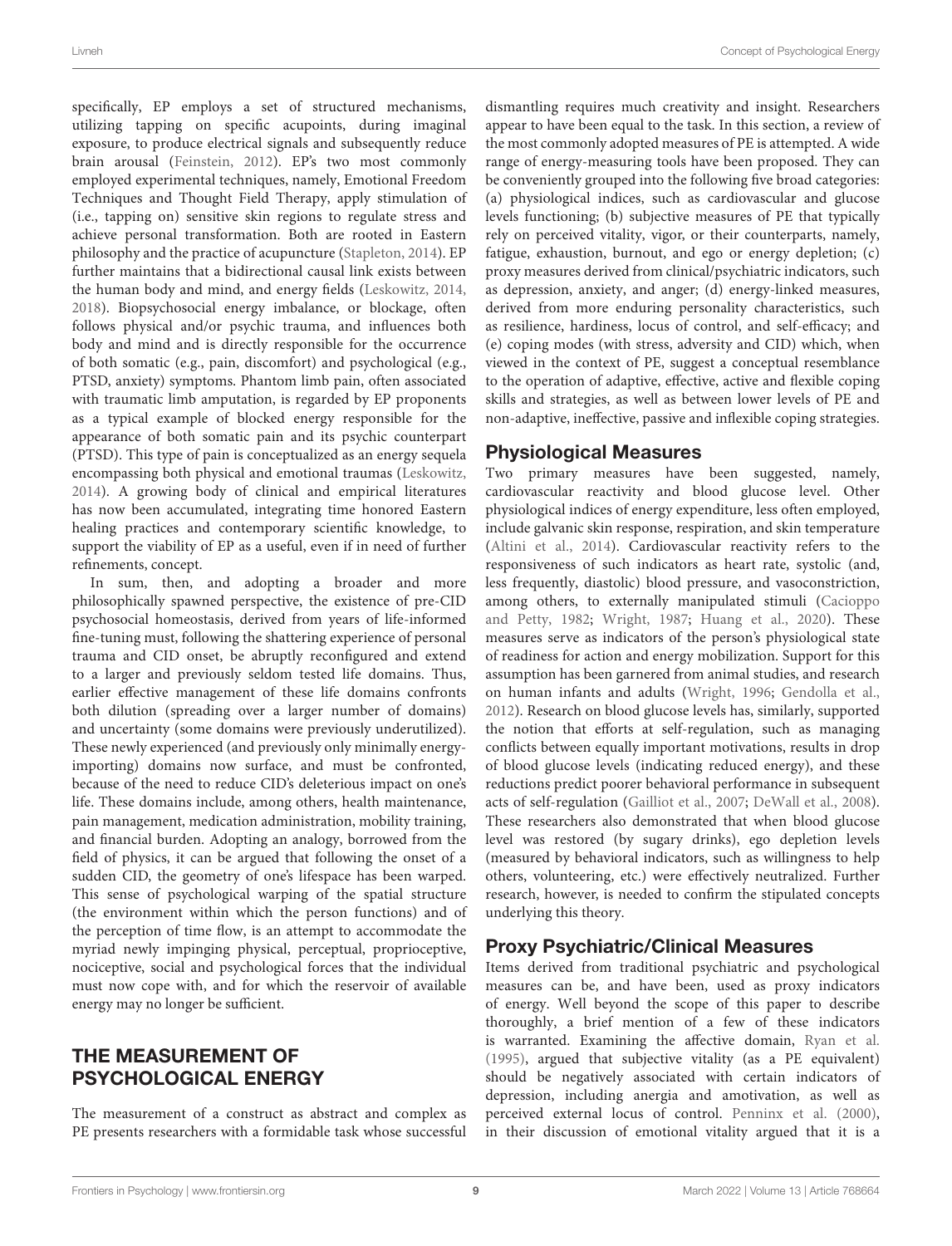specifically, EP employs a set of structured mechanisms, utilizing tapping on specific acupoints, during imaginal exposure, to produce electrical signals and subsequently reduce brain arousal [\(Feinstein,](#page-16-29) [2012\)](#page-16-29). EP's two most commonly employed experimental techniques, namely, Emotional Freedom Techniques and Thought Field Therapy, apply stimulation of (i.e., tapping on) sensitive skin regions to regulate stress and achieve personal transformation. Both are rooted in Eastern philosophy and the practice of acupuncture [\(Stapleton,](#page-17-24) [2014\)](#page-17-24). EP further maintains that a bidirectional causal link exists between the human body and mind, and energy fields [\(Leskowitz,](#page-16-31) [2014,](#page-16-31) [2018\)](#page-16-32). Biopsychosocial energy imbalance, or blockage, often follows physical and/or psychic trauma, and influences both body and mind and is directly responsible for the occurrence of both somatic (e.g., pain, discomfort) and psychological (e.g., PTSD, anxiety) symptoms. Phantom limb pain, often associated with traumatic limb amputation, is regarded by EP proponents as a typical example of blocked energy responsible for the appearance of both somatic pain and its psychic counterpart (PTSD). This type of pain is conceptualized as an energy sequela encompassing both physical and emotional traumas [\(Leskowitz,](#page-16-31) [2014\)](#page-16-31). A growing body of clinical and empirical literatures has now been accumulated, integrating time honored Eastern healing practices and contemporary scientific knowledge, to support the viability of EP as a useful, even if in need of further refinements, concept.

In sum, then, and adopting a broader and more philosophically spawned perspective, the existence of pre-CID psychosocial homeostasis, derived from years of life-informed fine-tuning must, following the shattering experience of personal trauma and CID onset, be abruptly reconfigured and extend to a larger and previously seldom tested life domains. Thus, earlier effective management of these life domains confronts both dilution (spreading over a larger number of domains) and uncertainty (some domains were previously underutilized). These newly experienced (and previously only minimally energyimporting) domains now surface, and must be confronted, because of the need to reduce CID's deleterious impact on one's life. These domains include, among others, health maintenance, pain management, medication administration, mobility training, and financial burden. Adopting an analogy, borrowed from the field of physics, it can be argued that following the onset of a sudden CID, the geometry of one's lifespace has been warped. This sense of psychological warping of the spatial structure (the environment within which the person functions) and of the perception of time flow, is an attempt to accommodate the myriad newly impinging physical, perceptual, proprioceptive, nociceptive, social and psychological forces that the individual must now cope with, and for which the reservoir of available energy may no longer be sufficient.

# THE MEASUREMENT OF PSYCHOLOGICAL ENERGY

The measurement of a construct as abstract and complex as PE presents researchers with a formidable task whose successful

dismantling requires much creativity and insight. Researchers appear to have been equal to the task. In this section, a review of the most commonly adopted measures of PE is attempted. A wide range of energy-measuring tools have been proposed. They can be conveniently grouped into the following five broad categories: (a) physiological indices, such as cardiovascular and glucose levels functioning; (b) subjective measures of PE that typically rely on perceived vitality, vigor, or their counterparts, namely, fatigue, exhaustion, burnout, and ego or energy depletion; (c) proxy measures derived from clinical/psychiatric indicators, such as depression, anxiety, and anger; (d) energy-linked measures, derived from more enduring personality characteristics, such as resilience, hardiness, locus of control, and self-efficacy; and (e) coping modes (with stress, adversity and CID) which, when viewed in the context of PE, suggest a conceptual resemblance to the operation of adaptive, effective, active and flexible coping skills and strategies, as well as between lower levels of PE and non-adaptive, ineffective, passive and inflexible coping strategies.

# Physiological Measures

Two primary measures have been suggested, namely, cardiovascular reactivity and blood glucose level. Other physiological indices of energy expenditure, less often employed, include galvanic skin response, respiration, and skin temperature [\(Altini et al.,](#page-15-18) [2014\)](#page-15-18). Cardiovascular reactivity refers to the responsiveness of such indicators as heart rate, systolic (and, less frequently, diastolic) blood pressure, and vasoconstriction, among others, to externally manipulated stimuli [\(Cacioppo](#page-15-19) [and Petty,](#page-15-19) [1982;](#page-15-19) [Wright,](#page-18-0) [1987;](#page-18-0) [Huang et al.,](#page-16-33) [2020\)](#page-16-33). These measures serve as indicators of the person's physiological state of readiness for action and energy mobilization. Support for this assumption has been garnered from animal studies, and research on human infants and adults [\(Wright,](#page-18-1) [1996;](#page-18-1) [Gendolla et al.,](#page-16-11) [2012\)](#page-16-11). Research on blood glucose levels has, similarly, supported the notion that efforts at self-regulation, such as managing conflicts between equally important motivations, results in drop of blood glucose levels (indicating reduced energy), and these reductions predict poorer behavioral performance in subsequent acts of self-regulation [\(Gailliot et al.,](#page-16-34) [2007;](#page-16-34) [DeWall et al.,](#page-15-20) [2008\)](#page-15-20). These researchers also demonstrated that when blood glucose level was restored (by sugary drinks), ego depletion levels (measured by behavioral indicators, such as willingness to help others, volunteering, etc.) were effectively neutralized. Further research, however, is needed to confirm the stipulated concepts underlying this theory.

# Proxy Psychiatric/Clinical Measures

Items derived from traditional psychiatric and psychological measures can be, and have been, used as proxy indicators of energy. Well beyond the scope of this paper to describe thoroughly, a brief mention of a few of these indicators is warranted. Examining the affective domain, [Ryan et al.](#page-17-25) [\(1995\)](#page-17-25), argued that subjective vitality (as a PE equivalent) should be negatively associated with certain indicators of depression, including anergia and amotivation, as well as perceived external locus of control. [Penninx et al.](#page-17-26) [\(2000\)](#page-17-26), in their discussion of emotional vitality argued that it is a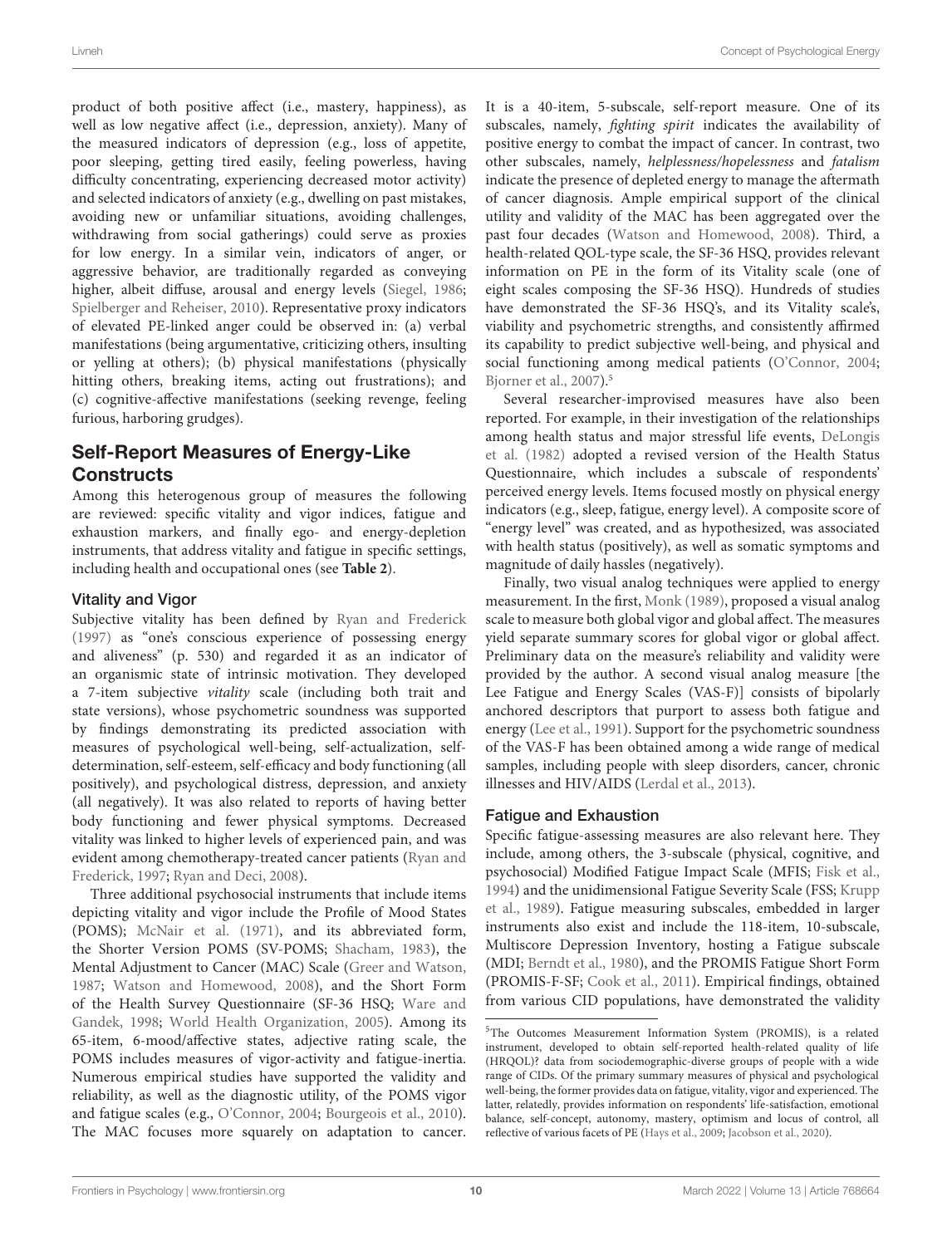product of both positive affect (i.e., mastery, happiness), as well as low negative affect (i.e., depression, anxiety). Many of the measured indicators of depression (e.g., loss of appetite, poor sleeping, getting tired easily, feeling powerless, having difficulty concentrating, experiencing decreased motor activity) and selected indicators of anxiety (e.g., dwelling on past mistakes, avoiding new or unfamiliar situations, avoiding challenges, withdrawing from social gatherings) could serve as proxies for low energy. In a similar vein, indicators of anger, or aggressive behavior, are traditionally regarded as conveying higher, albeit diffuse, arousal and energy levels [\(Siegel,](#page-17-27) [1986;](#page-17-27) [Spielberger and Reheiser,](#page-17-28) [2010\)](#page-17-28). Representative proxy indicators of elevated PE-linked anger could be observed in: (a) verbal manifestations (being argumentative, criticizing others, insulting or yelling at others); (b) physical manifestations (physically hitting others, breaking items, acting out frustrations); and (c) cognitive-affective manifestations (seeking revenge, feeling furious, harboring grudges).

# Self-Report Measures of Energy-Like **Constructs**

Among this heterogenous group of measures the following are reviewed: specific vitality and vigor indices, fatigue and exhaustion markers, and finally ego- and energy-depletion instruments, that address vitality and fatigue in specific settings, including health and occupational ones (see **[Table 2](#page-11-0)**).

#### Vitality and Vigor

Subjective vitality has been defined by [Ryan and Frederick](#page-17-12) [\(1997\)](#page-17-12) as "one's conscious experience of possessing energy and aliveness" (p. 530) and regarded it as an indicator of an organismic state of intrinsic motivation. They developed a 7-item subjective vitality scale (including both trait and state versions), whose psychometric soundness was supported by findings demonstrating its predicted association with measures of psychological well-being, self-actualization, selfdetermination, self-esteem, self-efficacy and body functioning (all positively), and psychological distress, depression, and anxiety (all negatively). It was also related to reports of having better body functioning and fewer physical symptoms. Decreased vitality was linked to higher levels of experienced pain, and was evident among chemotherapy-treated cancer patients [\(Ryan and](#page-17-12) [Frederick,](#page-17-12) [1997;](#page-17-12) [Ryan and Deci,](#page-17-0) [2008\)](#page-17-0).

Three additional psychosocial instruments that include items depicting vitality and vigor include the Profile of Mood States (POMS); [McNair et al.](#page-17-29) [\(1971\)](#page-17-29), and its abbreviated form, the Shorter Version POMS (SV-POMS; [Shacham,](#page-17-30) [1983\)](#page-17-30), the Mental Adjustment to Cancer (MAC) Scale [\(Greer and Watson,](#page-16-27) [1987;](#page-16-27) [Watson and Homewood,](#page-17-20) [2008\)](#page-17-20), and the Short Form of the Health Survey Questionnaire (SF-36 HSQ; [Ware and](#page-17-31) [Gandek,](#page-17-31) [1998;](#page-17-31) [World Health Organization,](#page-18-6) [2005\)](#page-18-6). Among its 65-item, 6-mood/affective states, adjective rating scale, the POMS includes measures of vigor-activity and fatigue-inertia. Numerous empirical studies have supported the validity and reliability, as well as the diagnostic utility, of the POMS vigor and fatigue scales (e.g., [O'Connor,](#page-17-32) [2004;](#page-17-32) [Bourgeois et al.,](#page-15-21) [2010\)](#page-15-21). The MAC focuses more squarely on adaptation to cancer. It is a 40-item, 5-subscale, self-report measure. One of its subscales, namely, fighting spirit indicates the availability of positive energy to combat the impact of cancer. In contrast, two other subscales, namely, helplessness/hopelessness and fatalism indicate the presence of depleted energy to manage the aftermath of cancer diagnosis. Ample empirical support of the clinical utility and validity of the MAC has been aggregated over the past four decades [\(Watson and Homewood,](#page-17-20) [2008\)](#page-17-20). Third, a health-related QOL-type scale, the SF-36 HSQ, provides relevant information on PE in the form of its Vitality scale (one of eight scales composing the SF-36 HSQ). Hundreds of studies have demonstrated the SF-36 HSQ's, and its Vitality scale's, viability and psychometric strengths, and consistently affirmed its capability to predict subjective well-being, and physical and social functioning among medical patients [\(O'Connor,](#page-17-32) [2004;](#page-17-32) [Bjorner et al.,](#page-15-22) [2007\)](#page-15-22).[5](#page-10-0)

Several researcher-improvised measures have also been reported. For example, in their investigation of the relationships among health status and major stressful life events, [DeLongis](#page-15-13) [et al.](#page-15-13) [\(1982\)](#page-15-13) adopted a revised version of the Health Status Questionnaire, which includes a subscale of respondents' perceived energy levels. Items focused mostly on physical energy indicators (e.g., sleep, fatigue, energy level). A composite score of "energy level" was created, and as hypothesized, was associated with health status (positively), as well as somatic symptoms and magnitude of daily hassles (negatively).

Finally, two visual analog techniques were applied to energy measurement. In the first, [Monk](#page-17-33) [\(1989\)](#page-17-33), proposed a visual analog scale to measure both global vigor and global affect. The measures yield separate summary scores for global vigor or global affect. Preliminary data on the measure's reliability and validity were provided by the author. A second visual analog measure [the Lee Fatigue and Energy Scales (VAS-F)] consists of bipolarly anchored descriptors that purport to assess both fatigue and energy [\(Lee et al.,](#page-16-35) [1991\)](#page-16-35). Support for the psychometric soundness of the VAS-F has been obtained among a wide range of medical samples, including people with sleep disorders, cancer, chronic illnesses and HIV/AIDS [\(Lerdal et al.,](#page-16-36) [2013\)](#page-16-36).

#### Fatigue and Exhaustion

Specific fatigue-assessing measures are also relevant here. They include, among others, the 3-subscale (physical, cognitive, and psychosocial) Modified Fatigue Impact Scale (MFIS; [Fisk et al.,](#page-16-37) [1994\)](#page-16-37) and the unidimensional Fatigue Severity Scale (FSS; [Krupp](#page-16-38) [et al.,](#page-16-38) [1989\)](#page-16-38). Fatigue measuring subscales, embedded in larger instruments also exist and include the 118-item, 10-subscale, Multiscore Depression Inventory, hosting a Fatigue subscale (MDI; [Berndt et al.,](#page-15-23) [1980\)](#page-15-23), and the PROMIS Fatigue Short Form (PROMIS-F-SF; [Cook et al.,](#page-15-24) [2011\)](#page-15-24). Empirical findings, obtained from various CID populations, have demonstrated the validity

<span id="page-10-0"></span><sup>5</sup>The Outcomes Measurement Information System (PROMIS), is a related instrument, developed to obtain self-reported health-related quality of life (HRQOL)? data from sociodemographic-diverse groups of people with a wide range of CIDs. Of the primary summary measures of physical and psychological well-being, the former provides data on fatigue, vitality, vigor and experienced. The latter, relatedly, provides information on respondents' life-satisfaction, emotional balance, self-concept, autonomy, mastery, optimism and locus of control, all reflective of various facets of PE [\(Hays et al.,](#page-16-39) [2009;](#page-16-39) [Jacobson et al.,](#page-16-40) [2020\)](#page-16-40).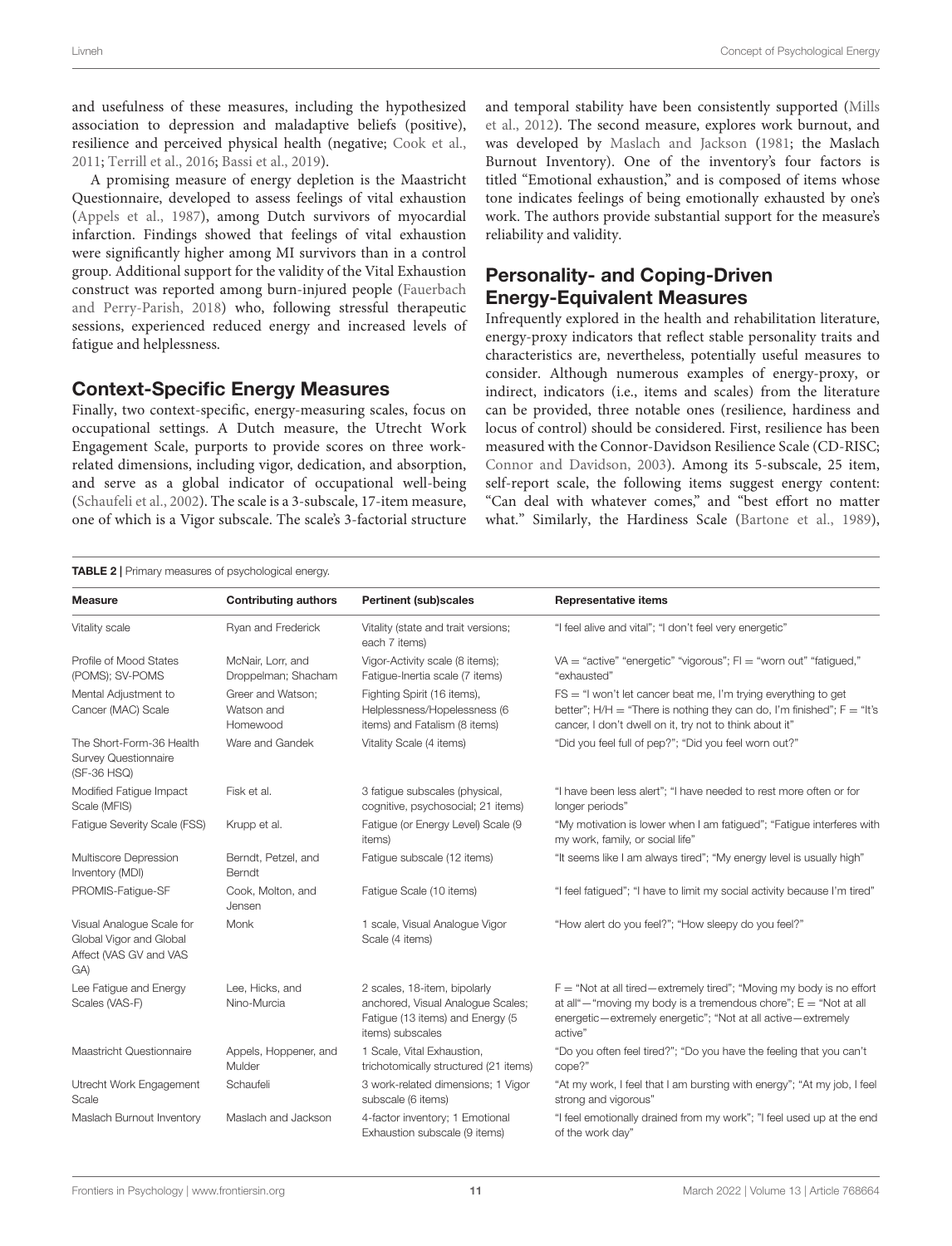and usefulness of these measures, including the hypothesized association to depression and maladaptive beliefs (positive), resilience and perceived physical health (negative; [Cook et al.,](#page-15-24) [2011;](#page-15-24) [Terrill et al.,](#page-17-34) [2016;](#page-17-34) [Bassi et al.,](#page-15-25) [2019\)](#page-15-25).

A promising measure of energy depletion is the Maastricht Questionnaire, developed to assess feelings of vital exhaustion [\(Appels et al.,](#page-15-26) [1987\)](#page-15-26), among Dutch survivors of myocardial infarction. Findings showed that feelings of vital exhaustion were significantly higher among MI survivors than in a control group. Additional support for the validity of the Vital Exhaustion construct was reported among burn-injured people [\(Fauerbach](#page-16-41) [and Perry-Parish,](#page-16-41) [2018\)](#page-16-41) who, following stressful therapeutic sessions, experienced reduced energy and increased levels of fatigue and helplessness.

#### Context-Specific Energy Measures

Finally, two context-specific, energy-measuring scales, focus on occupational settings. A Dutch measure, the Utrecht Work Engagement Scale, purports to provide scores on three workrelated dimensions, including vigor, dedication, and absorption, and serve as a global indicator of occupational well-being [\(Schaufeli et al.,](#page-17-35) [2002\)](#page-17-35). The scale is a 3-subscale, 17-item measure, one of which is a Vigor subscale. The scale's 3-factorial structure and temporal stability have been consistently supported [\(Mills](#page-17-36) [et al.,](#page-17-36) [2012\)](#page-17-36). The second measure, explores work burnout, and was developed by [Maslach and Jackson](#page-17-37) [\(1981;](#page-17-37) the Maslach Burnout Inventory). One of the inventory's four factors is titled "Emotional exhaustion," and is composed of items whose tone indicates feelings of being emotionally exhausted by one's work. The authors provide substantial support for the measure's reliability and validity.

# Personality- and Coping-Driven Energy-Equivalent Measures

Infrequently explored in the health and rehabilitation literature, energy-proxy indicators that reflect stable personality traits and characteristics are, nevertheless, potentially useful measures to consider. Although numerous examples of energy-proxy, or indirect, indicators (i.e., items and scales) from the literature can be provided, three notable ones (resilience, hardiness and locus of control) should be considered. First, resilience has been measured with the Connor-Davidson Resilience Scale (CD-RISC; [Connor and Davidson,](#page-15-14) [2003\)](#page-15-14). Among its 5-subscale, 25 item, self-report scale, the following items suggest energy content: "Can deal with whatever comes," and "best effort no matter what." Similarly, the Hardiness Scale [\(Bartone et al.,](#page-15-27) [1989\)](#page-15-27),

<span id="page-11-0"></span>

| <b>TABLE 2</b>   Primary measures of psychological energy.                            |                                             |                                                                                                                           |                                                                                                                                                                                                                            |  |  |
|---------------------------------------------------------------------------------------|---------------------------------------------|---------------------------------------------------------------------------------------------------------------------------|----------------------------------------------------------------------------------------------------------------------------------------------------------------------------------------------------------------------------|--|--|
| <b>Measure</b>                                                                        | <b>Contributing authors</b>                 | <b>Pertinent (sub)scales</b>                                                                                              | <b>Representative items</b>                                                                                                                                                                                                |  |  |
| Vitality scale                                                                        | Ryan and Frederick                          | Vitality (state and trait versions;<br>each 7 items)                                                                      | "I feel alive and vital"; "I don't feel very energetic"                                                                                                                                                                    |  |  |
| Profile of Mood States<br>(POMS); SV-POMS                                             | McNair, Lorr, and<br>Droppelman; Shacham    | Vigor-Activity scale (8 items);<br>Fatigue-Inertia scale (7 items)                                                        | VA = "active" "energetic" "vigorous"; $Fl = "worm out"$ "fatigued,"<br>"exhausted"                                                                                                                                         |  |  |
| Mental Adjustment to<br>Cancer (MAC) Scale                                            | Greer and Watson;<br>Watson and<br>Homewood | Fighting Spirit (16 items),<br>Helplessness/Hopelessness (6<br>items) and Fatalism (8 items)                              | $FS = "I won't let cancer beat me, I'm trying everything to get$<br>better"; $H/H =$ "There is nothing they can do, I'm finished"; $F =$ "It's<br>cancer, I don't dwell on it, try not to think about it"                  |  |  |
| The Short-Form-36 Health<br><b>Survey Questionnaire</b><br>(SF-36 HSQ)                | Ware and Gandek                             | Vitality Scale (4 items)                                                                                                  | "Did you feel full of pep?"; "Did you feel worn out?"                                                                                                                                                                      |  |  |
| Modified Fatique Impact<br>Scale (MFIS)                                               | Fisk et al.                                 | 3 fatigue subscales (physical,<br>cognitive, psychosocial; 21 items)                                                      | "I have been less alert"; "I have needed to rest more often or for<br>longer periods"                                                                                                                                      |  |  |
| Fatique Severity Scale (FSS)                                                          | Krupp et al.                                | Fatique (or Energy Level) Scale (9<br>items)                                                                              | "My motivation is lower when I am fatigued"; "Fatigue interferes with<br>my work, family, or social life"                                                                                                                  |  |  |
| Multiscore Depression<br>Inventory (MDI)                                              | Berndt, Petzel, and<br>Berndt               | Fatigue subscale (12 items)                                                                                               | "It seems like I am always tired"; "My energy level is usually high"                                                                                                                                                       |  |  |
| PROMIS-Fatique-SF                                                                     | Cook, Molton, and<br>Jensen                 | Fatique Scale (10 items)                                                                                                  | "I feel fatiqued"; "I have to limit my social activity because I'm tired"                                                                                                                                                  |  |  |
| Visual Analoque Scale for<br>Global Vigor and Global<br>Affect (VAS GV and VAS<br>GA) | Monk                                        | 1 scale, Visual Analogue Vigor<br>Scale (4 items)                                                                         | "How alert do you feel?"; "How sleepy do you feel?"                                                                                                                                                                        |  |  |
| Lee Fatigue and Energy<br>Scales (VAS-F)                                              | Lee, Hicks, and<br>Nino-Murcia              | 2 scales, 18-item, bipolarly<br>anchored, Visual Analogue Scales;<br>Fatigue (13 items) and Energy (5<br>items) subscales | $F = "Not at all tired–extremely tired"; "Moving my body is no effort$<br>at all" $-$ "moving my body is a tremendous chore"; $E =$ "Not at all<br>energetic-extremely energetic"; "Not at all active-extremely<br>active" |  |  |
| Maastricht Questionnaire                                                              | Appels, Hoppener, and<br>Mulder             | 1 Scale, Vital Exhaustion,<br>trichotomically structured (21 items)                                                       | "Do you often feel tired?"; "Do you have the feeling that you can't<br>cope?"                                                                                                                                              |  |  |
| Utrecht Work Engagement<br>Scale                                                      | Schaufeli                                   | 3 work-related dimensions; 1 Vigor<br>subscale (6 items)                                                                  | "At my work, I feel that I am bursting with energy"; "At my job, I feel<br>strong and vigorous"                                                                                                                            |  |  |
| Maslach Burnout Inventory                                                             | Maslach and Jackson                         | 4-factor inventory; 1 Emotional<br>Exhaustion subscale (9 items)                                                          | "I feel emotionally drained from my work"; "I feel used up at the end<br>of the work day"                                                                                                                                  |  |  |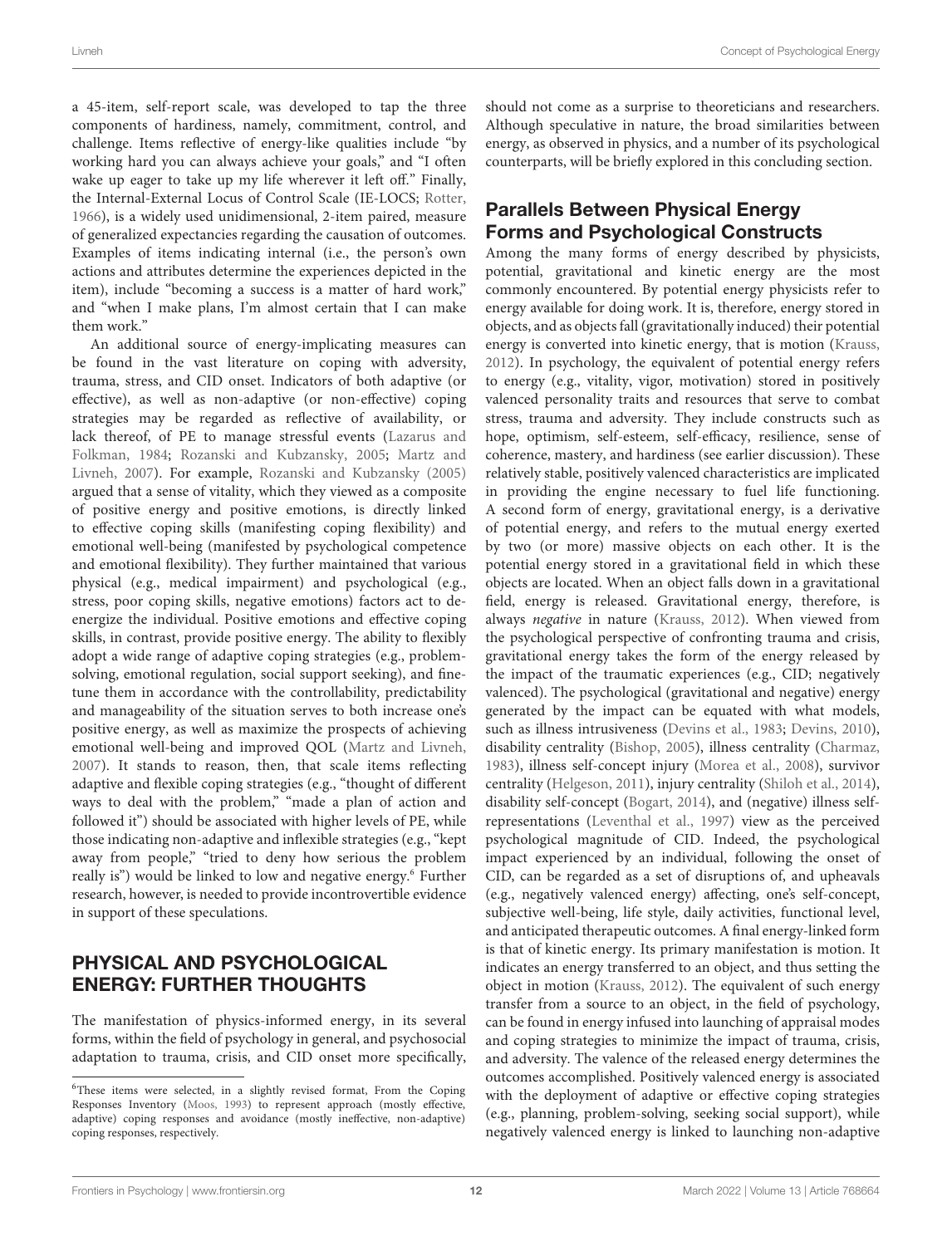a 45-item, self-report scale, was developed to tap the three components of hardiness, namely, commitment, control, and challenge. Items reflective of energy-like qualities include "by working hard you can always achieve your goals," and "I often wake up eager to take up my life wherever it left off." Finally, the Internal-External Locus of Control Scale (IE-LOCS; [Rotter,](#page-17-38) [1966\)](#page-17-38), is a widely used unidimensional, 2-item paired, measure of generalized expectancies regarding the causation of outcomes. Examples of items indicating internal (i.e., the person's own actions and attributes determine the experiences depicted in the item), include "becoming a success is a matter of hard work," and "when I make plans, I'm almost certain that I can make them work."

An additional source of energy-implicating measures can be found in the vast literature on coping with adversity, trauma, stress, and CID onset. Indicators of both adaptive (or effective), as well as non-adaptive (or non-effective) coping strategies may be regarded as reflective of availability, or lack thereof, of PE to manage stressful events [\(Lazarus and](#page-16-2) [Folkman,](#page-16-2) [1984;](#page-16-2) [Rozanski and Kubzansky,](#page-17-39) [2005;](#page-17-39) [Martz and](#page-17-40) [Livneh,](#page-17-40) [2007\)](#page-17-40). For example, [Rozanski and Kubzansky](#page-17-39) [\(2005\)](#page-17-39) argued that a sense of vitality, which they viewed as a composite of positive energy and positive emotions, is directly linked to effective coping skills (manifesting coping flexibility) and emotional well-being (manifested by psychological competence and emotional flexibility). They further maintained that various physical (e.g., medical impairment) and psychological (e.g., stress, poor coping skills, negative emotions) factors act to deenergize the individual. Positive emotions and effective coping skills, in contrast, provide positive energy. The ability to flexibly adopt a wide range of adaptive coping strategies (e.g., problemsolving, emotional regulation, social support seeking), and finetune them in accordance with the controllability, predictability and manageability of the situation serves to both increase one's positive energy, as well as maximize the prospects of achieving emotional well-being and improved QOL [\(Martz and Livneh,](#page-17-40) [2007\)](#page-17-40). It stands to reason, then, that scale items reflecting adaptive and flexible coping strategies (e.g., "thought of different ways to deal with the problem," "made a plan of action and followed it") should be associated with higher levels of PE, while those indicating non-adaptive and inflexible strategies (e.g., "kept away from people," "tried to deny how serious the problem really is") would be linked to low and negative energy.<sup>[6](#page-12-0)</sup> Further research, however, is needed to provide incontrovertible evidence in support of these speculations.

# PHYSICAL AND PSYCHOLOGICAL ENERGY: FURTHER THOUGHTS

The manifestation of physics-informed energy, in its several forms, within the field of psychology in general, and psychosocial adaptation to trauma, crisis, and CID onset more specifically,

should not come as a surprise to theoreticians and researchers. Although speculative in nature, the broad similarities between energy, as observed in physics, and a number of its psychological counterparts, will be briefly explored in this concluding section.

# Parallels Between Physical Energy Forms and Psychological Constructs

Among the many forms of energy described by physicists, potential, gravitational and kinetic energy are the most commonly encountered. By potential energy physicists refer to energy available for doing work. It is, therefore, energy stored in objects, and as objects fall (gravitationally induced) their potential energy is converted into kinetic energy, that is motion [\(Krauss,](#page-16-42) [2012\)](#page-16-42). In psychology, the equivalent of potential energy refers to energy (e.g., vitality, vigor, motivation) stored in positively valenced personality traits and resources that serve to combat stress, trauma and adversity. They include constructs such as hope, optimism, self-esteem, self-efficacy, resilience, sense of coherence, mastery, and hardiness (see earlier discussion). These relatively stable, positively valenced characteristics are implicated in providing the engine necessary to fuel life functioning. A second form of energy, gravitational energy, is a derivative of potential energy, and refers to the mutual energy exerted by two (or more) massive objects on each other. It is the potential energy stored in a gravitational field in which these objects are located. When an object falls down in a gravitational field, energy is released. Gravitational energy, therefore, is always negative in nature [\(Krauss,](#page-16-42) [2012\)](#page-16-42). When viewed from the psychological perspective of confronting trauma and crisis, gravitational energy takes the form of the energy released by the impact of the traumatic experiences (e.g., CID; negatively valenced). The psychological (gravitational and negative) energy generated by the impact can be equated with what models, such as illness intrusiveness [\(Devins et al.,](#page-15-28) [1983;](#page-15-28) [Devins,](#page-15-29) [2010\)](#page-15-29), disability centrality [\(Bishop,](#page-15-30) [2005\)](#page-15-30), illness centrality [\(Charmaz,](#page-15-31) [1983\)](#page-15-31), illness self-concept injury [\(Morea et al.,](#page-17-42) [2008\)](#page-17-42), survivor centrality [\(Helgeson,](#page-16-43) [2011\)](#page-16-43), injury centrality [\(Shiloh et al.,](#page-17-43) [2014\)](#page-17-43), disability self-concept [\(Bogart,](#page-15-32) [2014\)](#page-15-32), and (negative) illness selfrepresentations [\(Leventhal et al.,](#page-16-44) [1997\)](#page-16-44) view as the perceived psychological magnitude of CID. Indeed, the psychological impact experienced by an individual, following the onset of CID, can be regarded as a set of disruptions of, and upheavals (e.g., negatively valenced energy) affecting, one's self-concept, subjective well-being, life style, daily activities, functional level, and anticipated therapeutic outcomes. A final energy-linked form is that of kinetic energy. Its primary manifestation is motion. It indicates an energy transferred to an object, and thus setting the object in motion [\(Krauss,](#page-16-42) [2012\)](#page-16-42). The equivalent of such energy transfer from a source to an object, in the field of psychology, can be found in energy infused into launching of appraisal modes and coping strategies to minimize the impact of trauma, crisis, and adversity. The valence of the released energy determines the outcomes accomplished. Positively valenced energy is associated with the deployment of adaptive or effective coping strategies (e.g., planning, problem-solving, seeking social support), while negatively valenced energy is linked to launching non-adaptive

<span id="page-12-0"></span><sup>6</sup>These items were selected, in a slightly revised format, From the Coping Responses Inventory [\(Moos,](#page-17-41) [1993\)](#page-17-41) to represent approach (mostly effective, adaptive) coping responses and avoidance (mostly ineffective, non-adaptive) coping responses, respectively.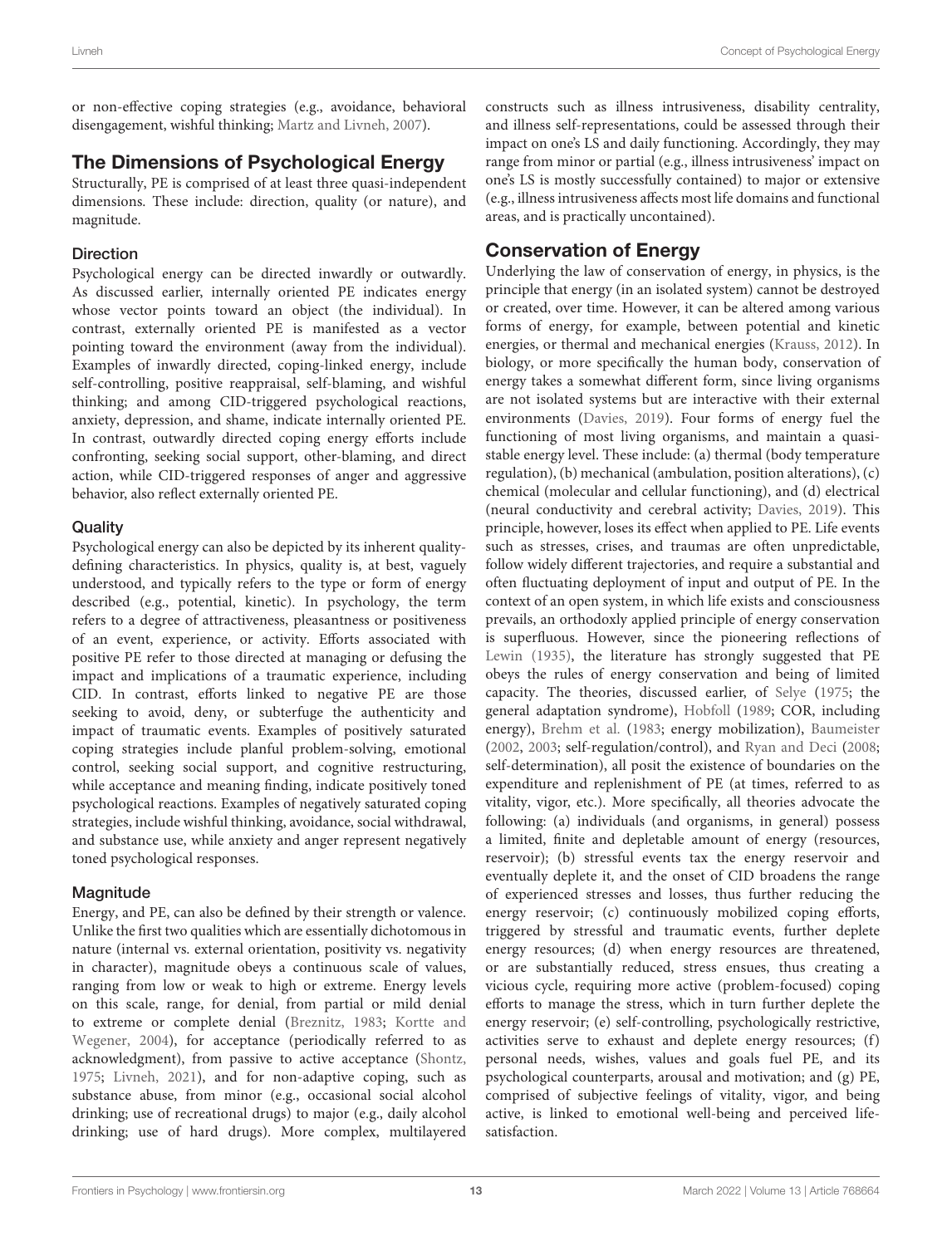or non-effective coping strategies (e.g., avoidance, behavioral disengagement, wishful thinking; [Martz and Livneh,](#page-17-40) [2007\)](#page-17-40).

## The Dimensions of Psychological Energy

Structurally, PE is comprised of at least three quasi-independent dimensions. These include: direction, quality (or nature), and magnitude.

#### Direction

Psychological energy can be directed inwardly or outwardly. As discussed earlier, internally oriented PE indicates energy whose vector points toward an object (the individual). In contrast, externally oriented PE is manifested as a vector pointing toward the environment (away from the individual). Examples of inwardly directed, coping-linked energy, include self-controlling, positive reappraisal, self-blaming, and wishful thinking; and among CID-triggered psychological reactions, anxiety, depression, and shame, indicate internally oriented PE. In contrast, outwardly directed coping energy efforts include confronting, seeking social support, other-blaming, and direct action, while CID-triggered responses of anger and aggressive behavior, also reflect externally oriented PE.

#### **Quality**

Psychological energy can also be depicted by its inherent qualitydefining characteristics. In physics, quality is, at best, vaguely understood, and typically refers to the type or form of energy described (e.g., potential, kinetic). In psychology, the term refers to a degree of attractiveness, pleasantness or positiveness of an event, experience, or activity. Efforts associated with positive PE refer to those directed at managing or defusing the impact and implications of a traumatic experience, including CID. In contrast, efforts linked to negative PE are those seeking to avoid, deny, or subterfuge the authenticity and impact of traumatic events. Examples of positively saturated coping strategies include planful problem-solving, emotional control, seeking social support, and cognitive restructuring, while acceptance and meaning finding, indicate positively toned psychological reactions. Examples of negatively saturated coping strategies, include wishful thinking, avoidance, social withdrawal, and substance use, while anxiety and anger represent negatively toned psychological responses.

### Magnitude

Energy, and PE, can also be defined by their strength or valence. Unlike the first two qualities which are essentially dichotomous in nature (internal vs. external orientation, positivity vs. negativity in character), magnitude obeys a continuous scale of values, ranging from low or weak to high or extreme. Energy levels on this scale, range, for denial, from partial or mild denial to extreme or complete denial [\(Breznitz,](#page-15-17) [1983;](#page-15-17) [Kortte and](#page-16-45) [Wegener,](#page-16-45) [2004\)](#page-16-45), for acceptance (periodically referred to as acknowledgment), from passive to active acceptance [\(Shontz,](#page-17-3) [1975;](#page-17-3) [Livneh,](#page-17-44) [2021\)](#page-17-44), and for non-adaptive coping, such as substance abuse, from minor (e.g., occasional social alcohol drinking; use of recreational drugs) to major (e.g., daily alcohol drinking; use of hard drugs). More complex, multilayered

constructs such as illness intrusiveness, disability centrality, and illness self-representations, could be assessed through their impact on one's LS and daily functioning. Accordingly, they may range from minor or partial (e.g., illness intrusiveness' impact on one's LS is mostly successfully contained) to major or extensive (e.g., illness intrusiveness affects most life domains and functional areas, and is practically uncontained).

# Conservation of Energy

Underlying the law of conservation of energy, in physics, is the principle that energy (in an isolated system) cannot be destroyed or created, over time. However, it can be altered among various forms of energy, for example, between potential and kinetic energies, or thermal and mechanical energies [\(Krauss,](#page-16-42) [2012\)](#page-16-42). In biology, or more specifically the human body, conservation of energy takes a somewhat different form, since living organisms are not isolated systems but are interactive with their external environments [\(Davies,](#page-15-3) [2019\)](#page-15-3). Four forms of energy fuel the functioning of most living organisms, and maintain a quasistable energy level. These include: (a) thermal (body temperature regulation), (b) mechanical (ambulation, position alterations), (c) chemical (molecular and cellular functioning), and (d) electrical (neural conductivity and cerebral activity; [Davies,](#page-15-3) [2019\)](#page-15-3). This principle, however, loses its effect when applied to PE. Life events such as stresses, crises, and traumas are often unpredictable, follow widely different trajectories, and require a substantial and often fluctuating deployment of input and output of PE. In the context of an open system, in which life exists and consciousness prevails, an orthodoxly applied principle of energy conservation is superfluous. However, since the pioneering reflections of [Lewin](#page-16-4) [\(1935\)](#page-16-4), the literature has strongly suggested that PE obeys the rules of energy conservation and being of limited capacity. The theories, discussed earlier, of [Selye](#page-17-11) [\(1975;](#page-17-11) the general adaptation syndrome), [Hobfoll](#page-16-1) [\(1989;](#page-16-1) COR, including energy), [Brehm et al.](#page-15-9) [\(1983;](#page-15-9) energy mobilization), [Baumeister](#page-15-1) [\(2002,](#page-15-1) [2003;](#page-15-10) self-regulation/control), and [Ryan and Deci](#page-17-0) [\(2008;](#page-17-0) self-determination), all posit the existence of boundaries on the expenditure and replenishment of PE (at times, referred to as vitality, vigor, etc.). More specifically, all theories advocate the following: (a) individuals (and organisms, in general) possess a limited, finite and depletable amount of energy (resources, reservoir); (b) stressful events tax the energy reservoir and eventually deplete it, and the onset of CID broadens the range of experienced stresses and losses, thus further reducing the energy reservoir; (c) continuously mobilized coping efforts, triggered by stressful and traumatic events, further deplete energy resources; (d) when energy resources are threatened, or are substantially reduced, stress ensues, thus creating a vicious cycle, requiring more active (problem-focused) coping efforts to manage the stress, which in turn further deplete the energy reservoir; (e) self-controlling, psychologically restrictive, activities serve to exhaust and deplete energy resources; (f) personal needs, wishes, values and goals fuel PE, and its psychological counterparts, arousal and motivation; and (g) PE, comprised of subjective feelings of vitality, vigor, and being active, is linked to emotional well-being and perceived lifesatisfaction.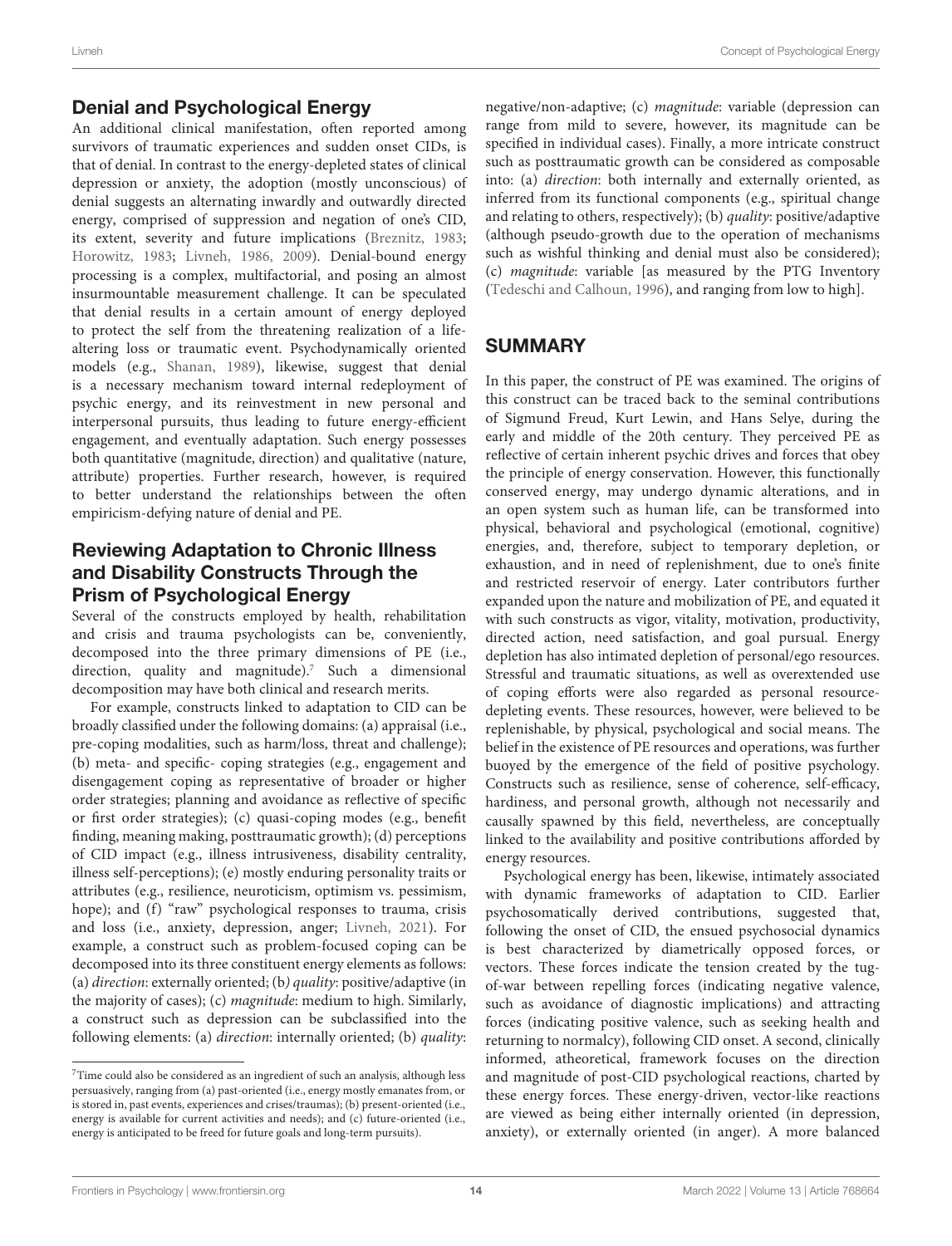An additional clinical manifestation, often reported among survivors of traumatic experiences and sudden onset CIDs, is that of denial. In contrast to the energy-depleted states of clinical depression or anxiety, the adoption (mostly unconscious) of denial suggests an alternating inwardly and outwardly directed energy, comprised of suppression and negation of one's CID, its extent, severity and future implications [\(Breznitz,](#page-15-17) [1983;](#page-15-17) [Horowitz,](#page-16-46) [1983;](#page-16-46) [Livneh,](#page-17-21) [1986,](#page-17-21) [2009\)](#page-17-23). Denial-bound energy processing is a complex, multifactorial, and posing an almost insurmountable measurement challenge. It can be speculated that denial results in a certain amount of energy deployed to protect the self from the threatening realization of a lifealtering loss or traumatic event. Psychodynamically oriented models (e.g., [Shanan,](#page-17-45) [1989\)](#page-17-45), likewise, suggest that denial is a necessary mechanism toward internal redeployment of psychic energy, and its reinvestment in new personal and interpersonal pursuits, thus leading to future energy-efficient engagement, and eventually adaptation. Such energy possesses both quantitative (magnitude, direction) and qualitative (nature, attribute) properties. Further research, however, is required to better understand the relationships between the often empiricism-defying nature of denial and PE.

### Reviewing Adaptation to Chronic Illness and Disability Constructs Through the Prism of Psychological Energy

Several of the constructs employed by health, rehabilitation and crisis and trauma psychologists can be, conveniently, decomposed into the three primary dimensions of PE (i.e., direction, quality and magnitude).<sup>[7](#page-14-0)</sup> Such a dimensional decomposition may have both clinical and research merits.

For example, constructs linked to adaptation to CID can be broadly classified under the following domains: (a) appraisal (i.e., pre-coping modalities, such as harm/loss, threat and challenge); (b) meta- and specific- coping strategies (e.g., engagement and disengagement coping as representative of broader or higher order strategies; planning and avoidance as reflective of specific or first order strategies); (c) quasi-coping modes (e.g., benefit finding, meaning making, posttraumatic growth); (d) perceptions of CID impact (e.g., illness intrusiveness, disability centrality, illness self-perceptions); (e) mostly enduring personality traits or attributes (e.g., resilience, neuroticism, optimism vs. pessimism, hope); and (f) "raw" psychological responses to trauma, crisis and loss (i.e., anxiety, depression, anger; [Livneh,](#page-17-44) [2021\)](#page-17-44). For example, a construct such as problem-focused coping can be decomposed into its three constituent energy elements as follows: (a) direction: externally oriented; (b) quality: positive/adaptive (in the majority of cases); (c) magnitude: medium to high. Similarly, a construct such as depression can be subclassified into the following elements: (a) direction: internally oriented; (b) quality: negative/non-adaptive; (c) magnitude: variable (depression can range from mild to severe, however, its magnitude can be specified in individual cases). Finally, a more intricate construct such as posttraumatic growth can be considered as composable into: (a) direction: both internally and externally oriented, as inferred from its functional components (e.g., spiritual change and relating to others, respectively); (b) quality: positive/adaptive (although pseudo-growth due to the operation of mechanisms such as wishful thinking and denial must also be considered); (c) magnitude: variable [as measured by the PTG Inventory [\(Tedeschi and Calhoun,](#page-17-46) [1996\)](#page-17-46), and ranging from low to high].

# SUMMARY

In this paper, the construct of PE was examined. The origins of this construct can be traced back to the seminal contributions of Sigmund Freud, Kurt Lewin, and Hans Selye, during the early and middle of the 20th century. They perceived PE as reflective of certain inherent psychic drives and forces that obey the principle of energy conservation. However, this functionally conserved energy, may undergo dynamic alterations, and in an open system such as human life, can be transformed into physical, behavioral and psychological (emotional, cognitive) energies, and, therefore, subject to temporary depletion, or exhaustion, and in need of replenishment, due to one's finite and restricted reservoir of energy. Later contributors further expanded upon the nature and mobilization of PE, and equated it with such constructs as vigor, vitality, motivation, productivity, directed action, need satisfaction, and goal pursual. Energy depletion has also intimated depletion of personal/ego resources. Stressful and traumatic situations, as well as overextended use of coping efforts were also regarded as personal resourcedepleting events. These resources, however, were believed to be replenishable, by physical, psychological and social means. The belief in the existence of PE resources and operations, was further buoyed by the emergence of the field of positive psychology. Constructs such as resilience, sense of coherence, self-efficacy, hardiness, and personal growth, although not necessarily and causally spawned by this field, nevertheless, are conceptually linked to the availability and positive contributions afforded by energy resources.

Psychological energy has been, likewise, intimately associated with dynamic frameworks of adaptation to CID. Earlier psychosomatically derived contributions, suggested that, following the onset of CID, the ensued psychosocial dynamics is best characterized by diametrically opposed forces, or vectors. These forces indicate the tension created by the tugof-war between repelling forces (indicating negative valence, such as avoidance of diagnostic implications) and attracting forces (indicating positive valence, such as seeking health and returning to normalcy), following CID onset. A second, clinically informed, atheoretical, framework focuses on the direction and magnitude of post-CID psychological reactions, charted by these energy forces. These energy-driven, vector-like reactions are viewed as being either internally oriented (in depression, anxiety), or externally oriented (in anger). A more balanced

<span id="page-14-0"></span><sup>7</sup>Time could also be considered as an ingredient of such an analysis, although less persuasively, ranging from (a) past-oriented (i.e., energy mostly emanates from, or is stored in, past events, experiences and crises/traumas); (b) present-oriented (i.e., energy is available for current activities and needs); and (c) future-oriented (i.e., energy is anticipated to be freed for future goals and long-term pursuits).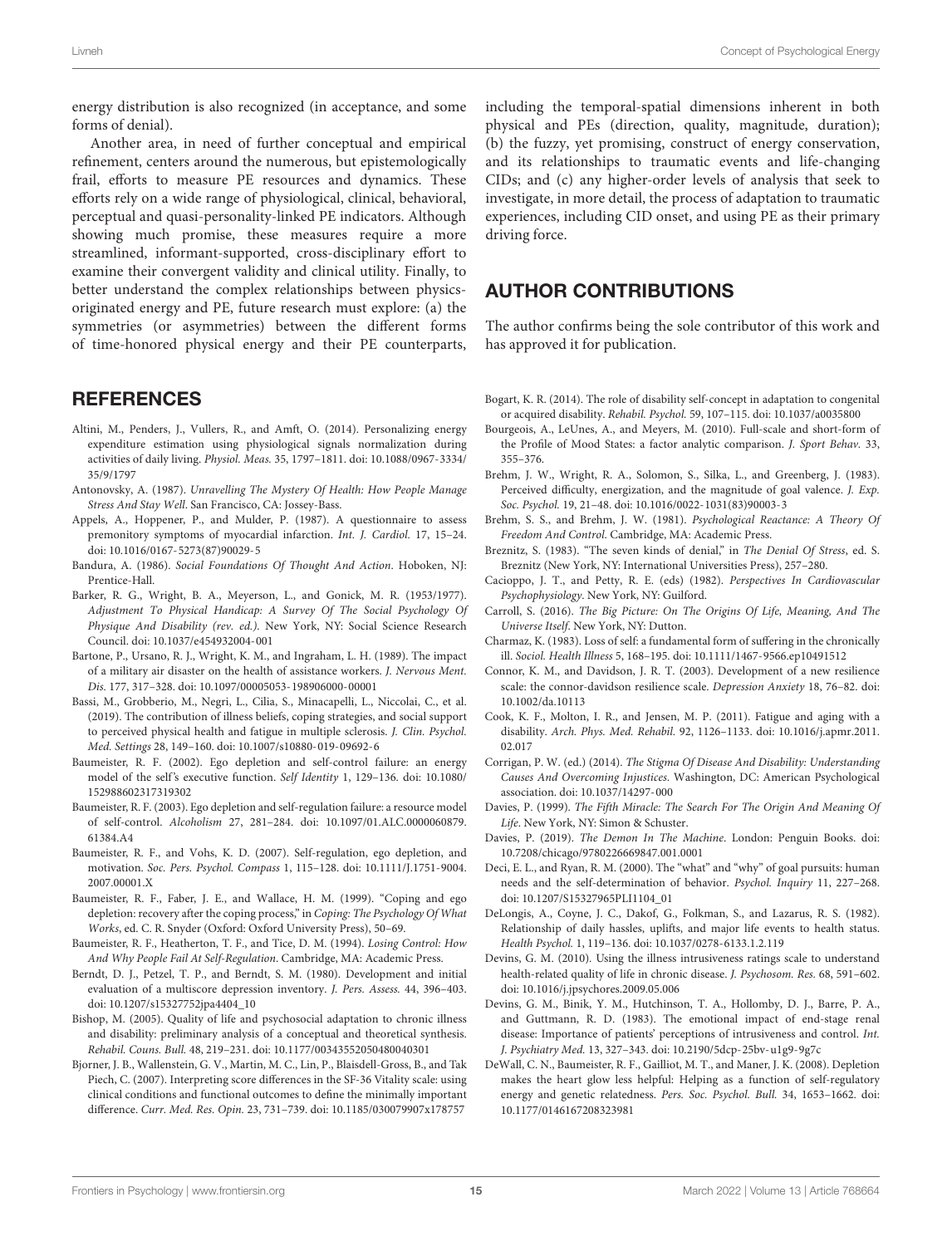Another area, in need of further conceptual and empirical refinement, centers around the numerous, but epistemologically frail, efforts to measure PE resources and dynamics. These efforts rely on a wide range of physiological, clinical, behavioral, perceptual and quasi-personality-linked PE indicators. Although showing much promise, these measures require a more streamlined, informant-supported, cross-disciplinary effort to examine their convergent validity and clinical utility. Finally, to better understand the complex relationships between physicsoriginated energy and PE, future research must explore: (a) the symmetries (or asymmetries) between the different forms of time-honored physical energy and their PE counterparts,

#### **REFERENCES**

- <span id="page-15-18"></span>Altini, M., Penders, J., Vullers, R., and Amft, O. (2014). Personalizing energy expenditure estimation using physiological signals normalization during activities of daily living. Physiol. Meas. 35, 1797–1811. [doi: 10.1088/0967-3334/](https://doi.org/10.1088/0967-3334/35/9/1797) [35/9/1797](https://doi.org/10.1088/0967-3334/35/9/1797)
- <span id="page-15-15"></span>Antonovsky, A. (1987). Unravelling The Mystery Of Health: How People Manage Stress And Stay Well. San Francisco, CA: Jossey-Bass.
- <span id="page-15-26"></span>Appels, A., Hoppener, P., and Mulder, P. (1987). A questionnaire to assess premonitory symptoms of myocardial infarction. Int. J. Cardiol. 17, 15–24. [doi: 10.1016/0167-5273\(87\)90029-5](https://doi.org/10.1016/0167-5273(87)90029-5)
- <span id="page-15-16"></span>Bandura, A. (1986). Social Foundations Of Thought And Action. Hoboken, NJ: Prentice-Hall.
- <span id="page-15-6"></span>Barker, R. G., Wright, B. A., Meyerson, L., and Gonick, M. R. (1953/1977). Adjustment To Physical Handicap: A Survey Of The Social Psychology Of Physique And Disability (rev. ed.). New York, NY: Social Science Research Council. [doi: 10.1037/e454932004-001](https://doi.org/10.1037/e454932004-001)
- <span id="page-15-27"></span>Bartone, P., Ursano, R. J., Wright, K. M., and Ingraham, L. H. (1989). The impact of a military air disaster on the health of assistance workers. J. Nervous Ment. Dis. 177, 317–328. [doi: 10.1097/00005053-198906000-00001](https://doi.org/10.1097/00005053-198906000-00001)
- <span id="page-15-25"></span>Bassi, M., Grobberio, M., Negri, L., Cilia, S., Minacapelli, L., Niccolai, C., et al. (2019). The contribution of illness beliefs, coping strategies, and social support to perceived physical health and fatigue in multiple sclerosis. J. Clin. Psychol. Med. Settings 28, 149–160. [doi: 10.1007/s10880-019-09692-6](https://doi.org/10.1007/s10880-019-09692-6)
- <span id="page-15-1"></span>Baumeister, R. F. (2002). Ego depletion and self-control failure: an energy model of the self's executive function. Self Identity 1, 129–136. [doi: 10.1080/](https://doi.org/10.1080/152988602317319302) [152988602317319302](https://doi.org/10.1080/152988602317319302)
- <span id="page-15-10"></span>Baumeister, R. F. (2003). Ego depletion and self-regulation failure: a resource model of self-control. Alcoholism 27, 281–284. [doi: 10.1097/01.ALC.0000060879.](https://doi.org/10.1097/01.ALC.0000060879.61384.A4) [61384.A4](https://doi.org/10.1097/01.ALC.0000060879.61384.A4)
- <span id="page-15-0"></span>Baumeister, R. F., and Vohs, K. D. (2007). Self-regulation, ego depletion, and motivation. Soc. Pers. Psychol. Compass 1, 115–128. [doi: 10.1111/J.1751-9004.](https://doi.org/10.1111/J.1751-9004.2007.00001.X) [2007.00001.X](https://doi.org/10.1111/J.1751-9004.2007.00001.X)
- <span id="page-15-12"></span>Baumeister, R. F., Faber, J. E., and Wallace, H. M. (1999). "Coping and ego depletion: recovery after the coping process," in Coping: The Psychology Of What Works, ed. C. R. Snyder (Oxford: Oxford University Press), 50–69.
- <span id="page-15-11"></span>Baumeister, R. F., Heatherton, T. F., and Tice, D. M. (1994). Losing Control: How And Why People Fail At Self-Regulation. Cambridge, MA: Academic Press.
- <span id="page-15-23"></span>Berndt, D. J., Petzel, T. P., and Berndt, S. M. (1980). Development and initial evaluation of a multiscore depression inventory. J. Pers. Assess. 44, 396–403. [doi: 10.1207/s15327752jpa4404\\_10](https://doi.org/10.1207/s15327752jpa4404_10)
- <span id="page-15-30"></span>Bishop, M. (2005). Quality of life and psychosocial adaptation to chronic illness and disability: preliminary analysis of a conceptual and theoretical synthesis. Rehabil. Couns. Bull. 48, 219–231. [doi: 10.1177/00343552050480040301](https://doi.org/10.1177/00343552050480040301)
- <span id="page-15-22"></span>Bjorner, J. B., Wallenstein, G. V., Martin, M. C., Lin, P., Blaisdell-Gross, B., and Tak Piech, C. (2007). Interpreting score differences in the SF-36 Vitality scale: using clinical conditions and functional outcomes to define the minimally important difference. Curr. Med. Res. Opin. 23, 731–739. [doi: 10.1185/030079907x178757](https://doi.org/10.1185/030079907x178757)

including the temporal-spatial dimensions inherent in both physical and PEs (direction, quality, magnitude, duration); (b) the fuzzy, yet promising, construct of energy conservation, and its relationships to traumatic events and life-changing CIDs; and (c) any higher-order levels of analysis that seek to investigate, in more detail, the process of adaptation to traumatic experiences, including CID onset, and using PE as their primary driving force.

#### AUTHOR CONTRIBUTIONS

The author confirms being the sole contributor of this work and has approved it for publication.

- <span id="page-15-32"></span>Bogart, K. R. (2014). The role of disability self-concept in adaptation to congenital or acquired disability. Rehabil. Psychol. 59, 107–115. [doi: 10.1037/a0035800](https://doi.org/10.1037/a0035800)
- <span id="page-15-21"></span>Bourgeois, A., LeUnes, A., and Meyers, M. (2010). Full-scale and short-form of the Profile of Mood States: a factor analytic comparison. J. Sport Behav. 33, 355–376.
- <span id="page-15-9"></span>Brehm, J. W., Wright, R. A., Solomon, S., Silka, L., and Greenberg, J. (1983). Perceived difficulty, energization, and the magnitude of goal valence. J. Exp. Soc. Psychol. 19, 21–48. [doi: 10.1016/0022-1031\(83\)90003-3](https://doi.org/10.1016/0022-1031(83)90003-3)
- <span id="page-15-8"></span>Brehm, S. S., and Brehm, J. W. (1981). Psychological Reactance: A Theory Of Freedom And Control. Cambridge, MA: Academic Press.
- <span id="page-15-17"></span>Breznitz, S. (1983). "The seven kinds of denial," in The Denial Of Stress, ed. S. Breznitz (New York, NY: International Universities Press), 257–280.
- <span id="page-15-19"></span>Cacioppo, J. T., and Petty, R. E. (eds) (1982). Perspectives In Cardiovascular Psychophysiology. New York, NY: Guilford.
- <span id="page-15-2"></span>Carroll, S. (2016). The Big Picture: On The Origins Of Life, Meaning, And The Universe Itself. New York, NY: Dutton.
- <span id="page-15-31"></span>Charmaz, K. (1983). Loss of self: a fundamental form of suffering in the chronically ill. Sociol. Health Illness 5, 168–195. [doi: 10.1111/1467-9566.ep10491512](https://doi.org/10.1111/1467-9566.ep10491512)
- <span id="page-15-14"></span>Connor, K. M., and Davidson, J. R. T. (2003). Development of a new resilience scale: the connor-davidson resilience scale. Depression Anxiety 18, 76–82. [doi:](https://doi.org/10.1002/da.10113) [10.1002/da.10113](https://doi.org/10.1002/da.10113)
- <span id="page-15-24"></span>Cook, K. F., Molton, I. R., and Jensen, M. P. (2011). Fatigue and aging with a disability. Arch. Phys. Med. Rehabil. 92, 1126–1133. [doi: 10.1016/j.apmr.2011.](https://doi.org/10.1016/j.apmr.2011.02.017) [02.017](https://doi.org/10.1016/j.apmr.2011.02.017)
- <span id="page-15-7"></span>Corrigan, P. W. (ed.) (2014). The Stigma Of Disease And Disability: Understanding Causes And Overcoming Injustices. Washington, DC: American Psychological association. [doi: 10.1037/14297-000](https://doi.org/10.1037/14297-000)
- <span id="page-15-4"></span>Davies, P. (1999). The Fifth Miracle: The Search For The Origin And Meaning Of Life. New York, NY: Simon & Schuster.
- <span id="page-15-3"></span>Davies, P. (2019). The Demon In The Machine. London: Penguin Books. [doi:](https://doi.org/10.7208/chicago/9780226669847.001.0001) [10.7208/chicago/9780226669847.001.0001](https://doi.org/10.7208/chicago/9780226669847.001.0001)
- <span id="page-15-5"></span>Deci, E. L., and Ryan, R. M. (2000). The "what" and "why" of goal pursuits: human needs and the self-determination of behavior. Psychol. Inquiry 11, 227–268. [doi: 10.1207/S15327965PLI1104\\_01](https://doi.org/10.1207/S15327965PLI1104_01)
- <span id="page-15-13"></span>DeLongis, A., Coyne, J. C., Dakof, G., Folkman, S., and Lazarus, R. S. (1982). Relationship of daily hassles, uplifts, and major life events to health status. Health Psychol. 1, 119–136. [doi: 10.1037/0278-6133.1.2.119](https://doi.org/10.1037/0278-6133.1.2.119)
- <span id="page-15-29"></span>Devins, G. M. (2010). Using the illness intrusiveness ratings scale to understand health-related quality of life in chronic disease. J. Psychosom. Res. 68, 591–602. [doi: 10.1016/j.jpsychores.2009.05.006](https://doi.org/10.1016/j.jpsychores.2009.05.006)
- <span id="page-15-28"></span>Devins, G. M., Binik, Y. M., Hutchinson, T. A., Hollomby, D. J., Barre, P. A., and Guttmann, R. D. (1983). The emotional impact of end-stage renal disease: Importance of patients' perceptions of intrusiveness and control. Int. J. Psychiatry Med. 13, 327–343. [doi: 10.2190/5dcp-25bv-u1g9-9g7c](https://doi.org/10.2190/5dcp-25bv-u1g9-9g7c)
- <span id="page-15-20"></span>DeWall, C. N., Baumeister, R. F., Gailliot, M. T., and Maner, J. K. (2008). Depletion makes the heart glow less helpful: Helping as a function of self-regulatory energy and genetic relatedness. Pers. Soc. Psychol. Bull. 34, 1653–1662. [doi:](https://doi.org/10.1177/0146167208323981) [10.1177/0146167208323981](https://doi.org/10.1177/0146167208323981)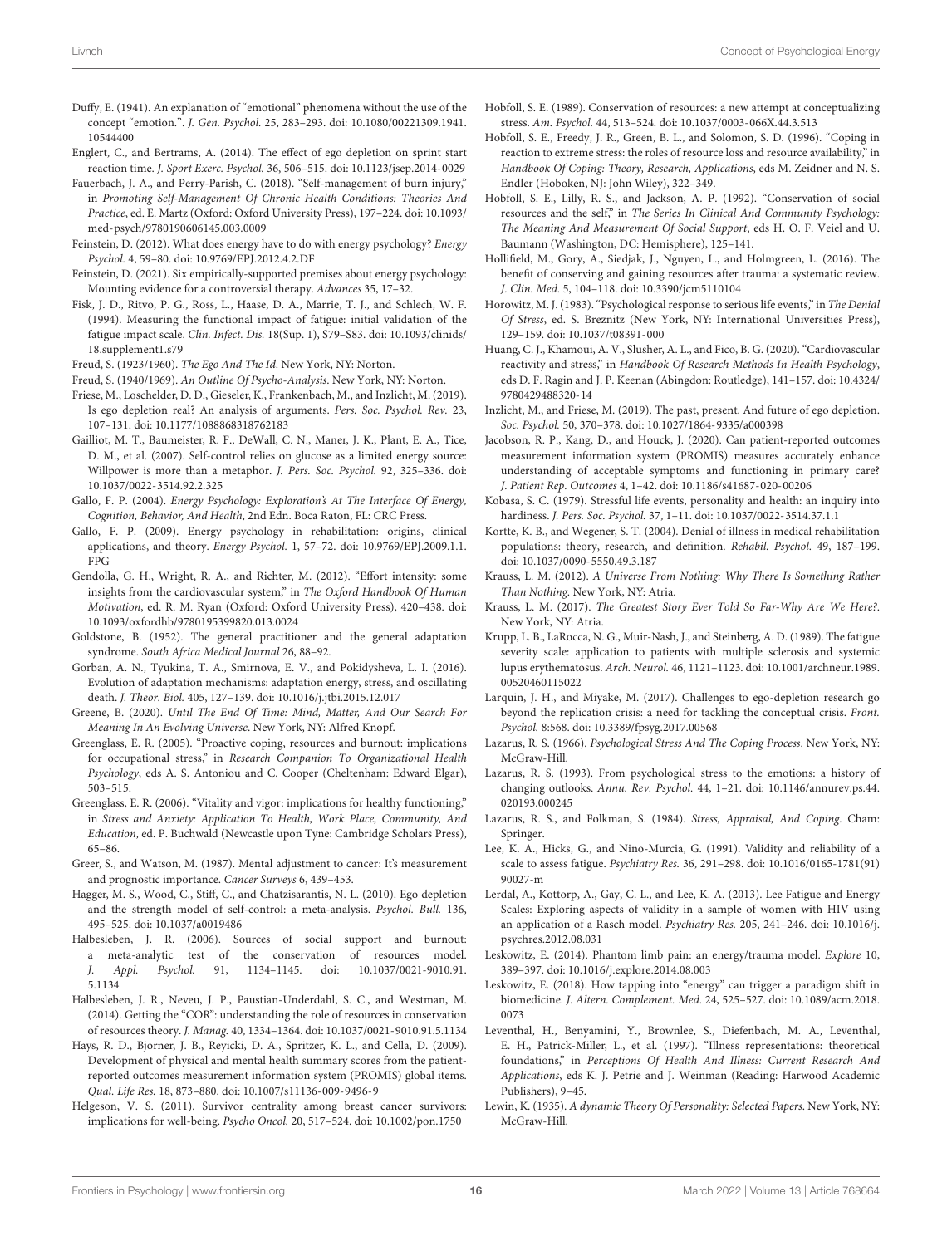- <span id="page-16-25"></span>Duffy, E. (1941). An explanation of "emotional" phenomena without the use of the concept "emotion.". J. Gen. Psychol. 25, 283–293. [doi: 10.1080/00221309.1941.](https://doi.org/10.1080/00221309.1941.10544400) [10544400](https://doi.org/10.1080/00221309.1941.10544400)
- <span id="page-16-13"></span>Englert, C., and Bertrams, A. (2014). The effect of ego depletion on sprint start reaction time. J. Sport Exerc. Psychol. 36, 506–515. [doi: 10.1123/jsep.2014-0029](https://doi.org/10.1123/jsep.2014-0029)
- <span id="page-16-41"></span>Fauerbach, J. A., and Perry-Parish, C. (2018). "Self-management of burn injury," in Promoting Self-Management Of Chronic Health Conditions: Theories And Practice, ed. E. Martz (Oxford: Oxford University Press), 197–224. [doi: 10.1093/](https://doi.org/10.1093/med-psych/9780190606145.003.0009) [med-psych/9780190606145.003.0009](https://doi.org/10.1093/med-psych/9780190606145.003.0009)
- <span id="page-16-29"></span>Feinstein, D. (2012). What does energy have to do with energy psychology? Energy Psychol. 4, 59–80. [doi: 10.9769/EPJ.2012.4.2.DF](https://doi.org/10.9769/EPJ.2012.4.2.DF)
- <span id="page-16-30"></span>Feinstein, D. (2021). Six empirically-supported premises about energy psychology: Mounting evidence for a controversial therapy. Advances 35, 17–32.
- <span id="page-16-37"></span>Fisk, J. D., Ritvo, P. G., Ross, L., Haase, D. A., Marrie, T. J., and Schlech, W. F. (1994). Measuring the functional impact of fatigue: initial validation of the fatigue impact scale. Clin. Infect. Dis. 18(Sup. 1), S79–S83. [doi: 10.1093/clinids/](https://doi.org/10.1093/clinids/18.supplement1.s79) [18.supplement1.s79](https://doi.org/10.1093/clinids/18.supplement1.s79)
- <span id="page-16-3"></span>Freud, S. (1923/1960). The Ego And The Id. New York, NY: Norton.

<span id="page-16-8"></span>Freud, S. (1940/1969). An Outline Of Psycho-Analysis. New York, NY: Norton.

- <span id="page-16-15"></span>Friese, M., Loschelder, D. D., Gieseler, K., Frankenbach, M., and Inzlicht, M. (2019). Is ego depletion real? An analysis of arguments. Pers. Soc. Psychol. Rev. 23, 107–131. [doi: 10.1177/1088868318762183](https://doi.org/10.1177/1088868318762183)
- <span id="page-16-34"></span>Gailliot, M. T., Baumeister, R. F., DeWall, C. N., Maner, J. K., Plant, E. A., Tice, D. M., et al. (2007). Self-control relies on glucose as a limited energy source: Willpower is more than a metaphor. J. Pers. Soc. Psychol. 92, 325–336. [doi:](https://doi.org/10.1037/0022-3514.92.2.325) [10.1037/0022-3514.92.2.325](https://doi.org/10.1037/0022-3514.92.2.325)
- <span id="page-16-28"></span>Gallo, F. P. (2004). Energy Psychology: Exploration's At The Interface Of Energy, Cognition, Behavior, And Health, 2nd Edn. Boca Raton, FL: CRC Press.
- <span id="page-16-6"></span>Gallo, F. P. (2009). Energy psychology in rehabilitation: origins, clinical applications, and theory. Energy Psychol. 1, 57–72. [doi: 10.9769/EPJ.2009.1.1.](https://doi.org/10.9769/EPJ.2009.1.1.FPG) [FPG](https://doi.org/10.9769/EPJ.2009.1.1.FPG)
- <span id="page-16-11"></span>Gendolla, G. H., Wright, R. A., and Richter, M. (2012). "Effort intensity: some insights from the cardiovascular system," in The Oxford Handbook Of Human Motivation, ed. R. M. Ryan (Oxford: Oxford University Press), 420–438. [doi:](https://doi.org/10.1093/oxfordhb/9780195399820.013.0024) [10.1093/oxfordhb/9780195399820.013.0024](https://doi.org/10.1093/oxfordhb/9780195399820.013.0024)
- <span id="page-16-10"></span>Goldstone, B. (1952). The general practitioner and the general adaptation syndrome. South Africa Medical Journal 26, 88–92.
- <span id="page-16-9"></span>Gorban, A. N., Tyukina, T. A., Smirnova, E. V., and Pokidysheva, L. I. (2016). Evolution of adaptation mechanisms: adaptation energy, stress, and oscillating death. J. Theor. Biol. 405, 127–139. [doi: 10.1016/j.jtbi.2015.12.017](https://doi.org/10.1016/j.jtbi.2015.12.017)
- <span id="page-16-0"></span>Greene, B. (2020). Until The End Of Time: Mind, Matter, And Our Search For Meaning In An Evolving Universe. New York, NY: Alfred Knopf.
- <span id="page-16-17"></span>Greenglass, E. R. (2005). "Proactive coping, resources and burnout: implications for occupational stress," in Research Companion To Organizational Health Psychology, eds A. S. Antoniou and C. Cooper (Cheltenham: Edward Elgar), 503–515.
- <span id="page-16-18"></span>Greenglass, E. R. (2006). "Vitality and vigor: implications for healthy functioning," in Stress and Anxiety: Application To Health, Work Place, Community, And Education, ed. P. Buchwald (Newcastle upon Tyne: Cambridge Scholars Press), 65–86.
- <span id="page-16-27"></span>Greer, S., and Watson, M. (1987). Mental adjustment to cancer: It's measurement and prognostic importance. Cancer Surveys 6, 439–453.
- <span id="page-16-12"></span>Hagger, M. S., Wood, C., Stiff, C., and Chatzisarantis, N. L. (2010). Ego depletion and the strength model of self-control: a meta-analysis. Psychol. Bull. 136, 495–525. [doi: 10.1037/a0019486](https://doi.org/10.1037/a0019486)
- <span id="page-16-22"></span>Halbesleben, J. R. (2006). Sources of social support and burnout: a meta-analytic test of the conservation of resources model. J. Appl. Psychol. 91, 1134–1145. [doi: 10.1037/0021-9010.91.](https://doi.org/10.1037/0021-9010.91.5.1134) [5.1134](https://doi.org/10.1037/0021-9010.91.5.1134)
- <span id="page-16-23"></span>Halbesleben, J. R., Neveu, J. P., Paustian-Underdahl, S. C., and Westman, M. (2014). Getting the "COR": understanding the role of resources in conservation of resources theory. J. Manag. 40, 1334–1364. [doi: 10.1037/0021-9010.91.5.1134](https://doi.org/10.1037/0021-9010.91.5.1134)
- <span id="page-16-39"></span>Hays, R. D., Bjorner, J. B., Reyicki, D. A., Spritzer, K. L., and Cella, D. (2009). Development of physical and mental health summary scores from the patientreported outcomes measurement information system (PROMIS) global items. Qual. Life Res. 18, 873–880. [doi: 10.1007/s11136-009-9496-9](https://doi.org/10.1007/s11136-009-9496-9)
- <span id="page-16-43"></span>Helgeson, V. S. (2011). Survivor centrality among breast cancer survivors: implications for well-being. Psycho Oncol. 20, 517–524. [doi: 10.1002/pon.1750](https://doi.org/10.1002/pon.1750)
- <span id="page-16-1"></span>Hobfoll, S. E. (1989). Conservation of resources: a new attempt at conceptualizing stress. Am. Psychol. 44, 513–524. [doi: 10.1037/0003-066X.44.3.513](https://doi.org/10.1037/0003-066X.44.3.513)
- <span id="page-16-19"></span>Hobfoll, S. E., Freedy, J. R., Green, B. L., and Solomon, S. D. (1996). "Coping in reaction to extreme stress: the roles of resource loss and resource availability," in Handbook Of Coping: Theory, Research, Applications, eds M. Zeidner and N. S. Endler (Hoboken, NJ: John Wiley), 322–349.
- <span id="page-16-20"></span>Hobfoll, S. E., Lilly, R. S., and Jackson, A. P. (1992). "Conservation of social resources and the self," in The Series In Clinical And Community Psychology: The Meaning And Measurement Of Social Support, eds H. O. F. Veiel and U. Baumann (Washington, DC: Hemisphere), 125–141.
- <span id="page-16-21"></span>Hollifield, M., Gory, A., Siedjak, J., Nguyen, L., and Holmgreen, L. (2016). The benefit of conserving and gaining resources after trauma: a systematic review. J. Clin. Med. 5, 104–118. [doi: 10.3390/jcm5110104](https://doi.org/10.3390/jcm5110104)
- <span id="page-16-46"></span>Horowitz, M. J. (1983). "Psychological response to serious life events," in The Denial Of Stress, ed. S. Breznitz (New York, NY: International Universities Press), 129–159. [doi: 10.1037/t08391-000](https://doi.org/10.1037/t08391-000)
- <span id="page-16-33"></span>Huang, C. J., Khamoui, A. V., Slusher, A. L., and Fico, B. G. (2020). "Cardiovascular reactivity and stress," in Handbook Of Research Methods In Health Psychology, eds D. F. Ragin and J. P. Keenan (Abingdon: Routledge), 141–157. [doi: 10.4324/](https://doi.org/10.4324/9780429488320-14) [9780429488320-14](https://doi.org/10.4324/9780429488320-14)
- <span id="page-16-16"></span>Inzlicht, M., and Friese, M. (2019). The past, present. And future of ego depletion. Soc. Psychol. 50, 370–378. [doi: 10.1027/1864-9335/a000398](https://doi.org/10.1027/1864-9335/a000398)
- <span id="page-16-40"></span>Jacobson, R. P., Kang, D., and Houck, J. (2020). Can patient-reported outcomes measurement information system (PROMIS) measures accurately enhance understanding of acceptable symptoms and functioning in primary care? J. Patient Rep. Outcomes 4, 1–42. [doi: 10.1186/s41687-020-00206](https://doi.org/10.1186/s41687-020-00206)
- <span id="page-16-26"></span>Kobasa, S. C. (1979). Stressful life events, personality and health: an inquiry into hardiness. J. Pers. Soc. Psychol. 37, 1–11. [doi: 10.1037/0022-3514.37.1.1](https://doi.org/10.1037/0022-3514.37.1.1)
- <span id="page-16-45"></span>Kortte, K. B., and Wegener, S. T. (2004). Denial of illness in medical rehabilitation populations: theory, research, and definition. Rehabil. Psychol. 49, 187–199. [doi: 10.1037/0090-5550.49.3.187](https://doi.org/10.1037/0090-5550.49.3.187)
- <span id="page-16-42"></span>Krauss, L. M. (2012). A Universe From Nothing: Why There Is Something Rather Than Nothing. New York, NY: Atria.
- <span id="page-16-7"></span>Krauss, L. M. (2017). The Greatest Story Ever Told So Far-Why Are We Here?. New York, NY: Atria.
- <span id="page-16-38"></span>Krupp, L. B., LaRocca, N. G., Muir-Nash, J., and Steinberg, A. D. (1989). The fatigue severity scale: application to patients with multiple sclerosis and systemic lupus erythematosus. Arch. Neurol. 46, 1121–1123. [doi: 10.1001/archneur.1989.](https://doi.org/10.1001/archneur.1989.00520460115022) [00520460115022](https://doi.org/10.1001/archneur.1989.00520460115022)
- <span id="page-16-14"></span>Larquin, J. H., and Miyake, M. (2017). Challenges to ego-depletion research go beyond the replication crisis: a need for tackling the conceptual crisis. Front. Psychol. 8:568. [doi: 10.3389/fpsyg.2017.00568](https://doi.org/10.3389/fpsyg.2017.00568)
- <span id="page-16-24"></span>Lazarus, R. S. (1966). Psychological Stress And The Coping Process. New York, NY: McGraw-Hill.
- <span id="page-16-5"></span>Lazarus, R. S. (1993). From psychological stress to the emotions: a history of changing outlooks. Annu. Rev. Psychol. 44, 1–21. [doi: 10.1146/annurev.ps.44.](https://doi.org/10.1146/annurev.ps.44.020193.000245) [020193.000245](https://doi.org/10.1146/annurev.ps.44.020193.000245)
- <span id="page-16-2"></span>Lazarus, R. S., and Folkman, S. (1984). Stress, Appraisal, And Coping. Cham: Springer.
- <span id="page-16-35"></span>Lee, K. A., Hicks, G., and Nino-Murcia, G. (1991). Validity and reliability of a scale to assess fatigue. Psychiatry Res. 36, 291–298. [doi: 10.1016/0165-1781\(91\)](https://doi.org/10.1016/0165-1781(91)90027-m) [90027-m](https://doi.org/10.1016/0165-1781(91)90027-m)
- <span id="page-16-36"></span>Lerdal, A., Kottorp, A., Gay, C. L., and Lee, K. A. (2013). Lee Fatigue and Energy Scales: Exploring aspects of validity in a sample of women with HIV using an application of a Rasch model. Psychiatry Res. 205, 241–246. [doi: 10.1016/j.](https://doi.org/10.1016/j.psychres.2012.08.031) [psychres.2012.08.031](https://doi.org/10.1016/j.psychres.2012.08.031)
- <span id="page-16-31"></span>Leskowitz, E. (2014). Phantom limb pain: an energy/trauma model. Explore 10, 389–397. [doi: 10.1016/j.explore.2014.08.003](https://doi.org/10.1016/j.explore.2014.08.003)
- <span id="page-16-32"></span>Leskowitz, E. (2018). How tapping into "energy" can trigger a paradigm shift in biomedicine. J. Altern. Complement. Med. 24, 525–527. [doi: 10.1089/acm.2018.](https://doi.org/10.1089/acm.2018.0073) [0073](https://doi.org/10.1089/acm.2018.0073)
- <span id="page-16-44"></span>Leventhal, H., Benyamini, Y., Brownlee, S., Diefenbach, M. A., Leventhal, E. H., Patrick-Miller, L., et al. (1997). "Illness representations: theoretical foundations," in Perceptions Of Health And Illness: Current Research And Applications, eds K. J. Petrie and J. Weinman (Reading: Harwood Academic Publishers), 9–45.
- <span id="page-16-4"></span>Lewin, K. (1935). A dynamic Theory Of Personality: Selected Papers. New York, NY: McGraw-Hill.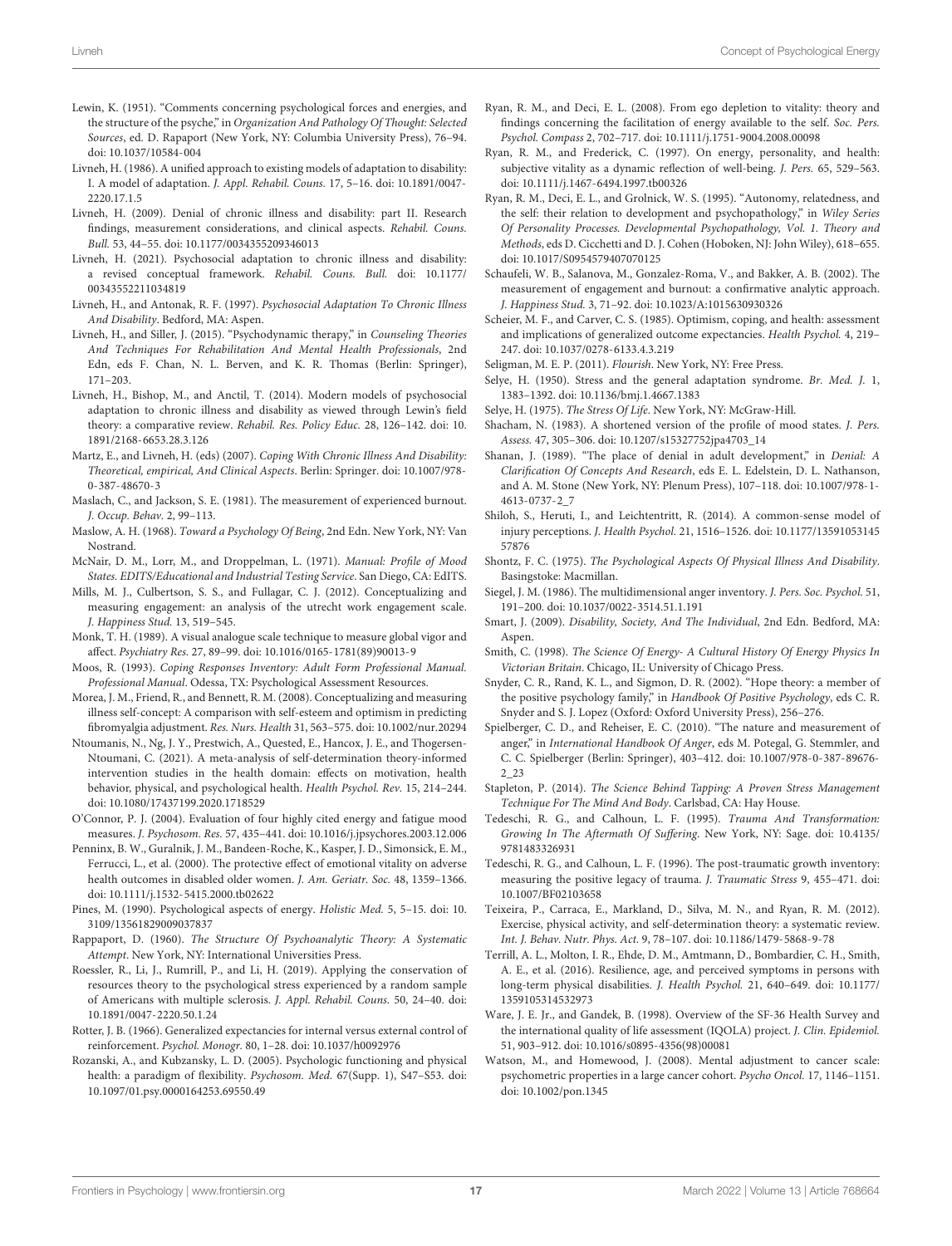- <span id="page-17-1"></span>Lewin, K. (1951). "Comments concerning psychological forces and energies, and the structure of the psyche," in Organization And Pathology Of Thought: Selected Sources, ed. D. Rapaport (New York, NY: Columbia University Press), 76–94. [doi: 10.1037/10584-004](https://doi.org/10.1037/10584-004)
- <span id="page-17-21"></span>Livneh, H. (1986). A unified approach to existing models of adaptation to disability: I. A model of adaptation. J. Appl. Rehabil. Couns. 17, 5–16. [doi: 10.1891/0047-](https://doi.org/10.1891/0047-2220.17.1.5) [2220.17.1.5](https://doi.org/10.1891/0047-2220.17.1.5)
- <span id="page-17-23"></span>Livneh, H. (2009). Denial of chronic illness and disability: part II. Research findings, measurement considerations, and clinical aspects. Rehabil. Couns. Bull. 53, 44–55. [doi: 10.1177/0034355209346013](https://doi.org/10.1177/0034355209346013)
- <span id="page-17-44"></span>Livneh, H. (2021). Psychosocial adaptation to chronic illness and disability: a revised conceptual framework. Rehabil. Couns. Bull. [doi: 10.1177/](https://doi.org/10.1177/00343552211034819) [00343552211034819](https://doi.org/10.1177/00343552211034819)
- <span id="page-17-2"></span>Livneh, H., and Antonak, R. F. (1997). Psychosocial Adaptation To Chronic Illness And Disability. Bedford, MA: Aspen.
- <span id="page-17-22"></span>Livneh, H., and Siller, J. (2015). "Psychodynamic therapy," in Counseling Theories And Techniques For Rehabilitation And Mental Health Professionals, 2nd Edn, eds F. Chan, N. L. Berven, and K. R. Thomas (Berlin: Springer), 171–203.
- <span id="page-17-9"></span>Livneh, H., Bishop, M., and Anctil, T. (2014). Modern models of psychosocial adaptation to chronic illness and disability as viewed through Lewin's field theory: a comparative review. Rehabil. Res. Policy Educ. 28, 126–142. [doi: 10.](https://doi.org/10.1891/2168-6653.28.3.126) [1891/2168-6653.28.3.126](https://doi.org/10.1891/2168-6653.28.3.126)
- <span id="page-17-40"></span>Martz, E., and Livneh, H. (eds) (2007). Coping With Chronic Illness And Disability: Theoretical, empirical, And Clinical Aspects. Berlin: Springer. [doi: 10.1007/978-](https://doi.org/10.1007/978-0-387-48670-3) [0-387-48670-3](https://doi.org/10.1007/978-0-387-48670-3)
- <span id="page-17-37"></span>Maslach, C., and Jackson, S. E. (1981). The measurement of experienced burnout. J. Occup. Behav. 2, 99–113.
- <span id="page-17-15"></span>Maslow, A. H. (1968). Toward a Psychology Of Being, 2nd Edn. New York, NY: Van Nostrand.
- <span id="page-17-29"></span>McNair, D. M., Lorr, M., and Droppelman, L. (1971). Manual: Profile of Mood States. EDITS/Educational and Industrial Testing Service. San Diego, CA: EdITS.
- <span id="page-17-36"></span>Mills, M. J., Culbertson, S. S., and Fullagar, C. J. (2012). Conceptualizing and measuring engagement: an analysis of the utrecht work engagement scale. J. Happiness Stud. 13, 519–545.
- <span id="page-17-33"></span>Monk, T. H. (1989). A visual analogue scale technique to measure global vigor and affect. Psychiatry Res. 27, 89–99. [doi: 10.1016/0165-1781\(89\)90013-9](https://doi.org/10.1016/0165-1781(89)90013-9)
- <span id="page-17-41"></span>Moos, R. (1993). Coping Responses Inventory: Adult Form Professional Manual. Professional Manual. Odessa, TX: Psychological Assessment Resources.
- <span id="page-17-42"></span>Morea, J. M., Friend, R., and Bennett, R. M. (2008). Conceptualizing and measuring illness self-concept: A comparison with self-esteem and optimism in predicting fibromyalgia adjustment. Res. Nurs. Health 31, 563–575. [doi: 10.1002/nur.20294](https://doi.org/10.1002/nur.20294)
- <span id="page-17-5"></span>Ntoumanis, N., Ng, J. Y., Prestwich, A., Quested, E., Hancox, J. E., and Thogersen-Ntoumani, C. (2021). A meta-analysis of self-determination theory-informed intervention studies in the health domain: effects on motivation, health behavior, physical, and psychological health. Health Psychol. Rev. 15, 214–244. [doi: 10.1080/17437199.2020.1718529](https://doi.org/10.1080/17437199.2020.1718529)
- <span id="page-17-32"></span>O'Connor, P. J. (2004). Evaluation of four highly cited energy and fatigue mood measures. J. Psychosom. Res. 57, 435–441. [doi: 10.1016/j.jpsychores.2003.12.006](https://doi.org/10.1016/j.jpsychores.2003.12.006)
- <span id="page-17-26"></span>Penninx, B. W., Guralnik, J. M., Bandeen-Roche, K., Kasper, J. D., Simonsick, E. M., Ferrucci, L., et al. (2000). The protective effect of emotional vitality on adverse health outcomes in disabled older women. J. Am. Geriatr. Soc. 48, 1359–1366. [doi: 10.1111/j.1532-5415.2000.tb02622](https://doi.org/10.1111/j.1532-5415.2000.tb02622)
- <span id="page-17-8"></span>Pines, M. (1990). Psychological aspects of energy. Holistic Med. 5, 5–15. [doi: 10.](https://doi.org/10.3109/13561829009037837) [3109/13561829009037837](https://doi.org/10.3109/13561829009037837)
- <span id="page-17-7"></span>Rappaport, D. (1960). The Structure Of Psychoanalytic Theory: A Systematic Attempt. New York, NY: International Universities Press.
- <span id="page-17-14"></span>Roessler, R., Li, J., Rumrill, P., and Li, H. (2019). Applying the conservation of resources theory to the psychological stress experienced by a random sample of Americans with multiple sclerosis. J. Appl. Rehabil. Couns. 50, 24–40. [doi:](https://doi.org/10.1891/0047-2220.50.1.24) [10.1891/0047-2220.50.1.24](https://doi.org/10.1891/0047-2220.50.1.24)
- <span id="page-17-38"></span>Rotter, J. B. (1966). Generalized expectancies for internal versus external control of reinforcement. Psychol. Monogr. 80, 1–28. [doi: 10.1037/h0092976](https://doi.org/10.1037/h0092976)
- <span id="page-17-39"></span>Rozanski, A., and Kubzansky, L. D. (2005). Psychologic functioning and physical health: a paradigm of flexibility. Psychosom. Med. 67(Supp. 1), S47–S53. [doi:](https://doi.org/10.1097/01.psy.0000164253.69550.49) [10.1097/01.psy.0000164253.69550.49](https://doi.org/10.1097/01.psy.0000164253.69550.49)
- <span id="page-17-0"></span>Ryan, R. M., and Deci, E. L. (2008). From ego depletion to vitality: theory and findings concerning the facilitation of energy available to the self. Soc. Pers. Psychol. Compass 2, 702–717. [doi: 10.1111/j.1751-9004.2008.00098](https://doi.org/10.1111/j.1751-9004.2008.00098)
- <span id="page-17-12"></span>Ryan, R. M., and Frederick, C. (1997). On energy, personality, and health: subjective vitality as a dynamic reflection of well-being. J. Pers. 65, 529–563. [doi: 10.1111/j.1467-6494.1997.tb00326](https://doi.org/10.1111/j.1467-6494.1997.tb00326)
- <span id="page-17-25"></span>Ryan, R. M., Deci, E. L., and Grolnick, W. S. (1995). "Autonomy, relatedness, and the self: their relation to development and psychopathology," in Wiley Series Of Personality Processes. Developmental Psychopathology, Vol. 1. Theory and Methods, eds D. Cicchetti and D. J. Cohen (Hoboken, NJ: John Wiley), 618–655. [doi: 10.1017/S0954579407070125](https://doi.org/10.1017/S0954579407070125)
- <span id="page-17-35"></span>Schaufeli, W. B., Salanova, M., Gonzalez-Roma, V., and Bakker, A. B. (2002). The measurement of engagement and burnout: a confirmative analytic approach. J. Happiness Stud. 3, 71–92. [doi: 10.1023/A:1015630930326](https://doi.org/10.1023/A:1015630930326)
- <span id="page-17-16"></span>Scheier, M. F., and Carver, C. S. (1985). Optimism, coping, and health: assessment and implications of generalized outcome expectancies. Health Psychol. 4, 219– 247. [doi: 10.1037/0278-6133.4.3.219](https://doi.org/10.1037/0278-6133.4.3.219)
- <span id="page-17-19"></span>Seligman, M. E. P. (2011). Flourish. New York, NY: Free Press.
- <span id="page-17-10"></span>Selye, H. (1950). Stress and the general adaptation syndrome. Br. Med. J. 1, 1383–1392. [doi: 10.1136/bmj.1.4667.1383](https://doi.org/10.1136/bmj.1.4667.1383)
- <span id="page-17-11"></span>Selye, H. (1975). The Stress Of Life. New York, NY: McGraw-Hill.
- <span id="page-17-30"></span>Shacham, N. (1983). A shortened version of the profile of mood states. J. Pers. Assess. 47, 305–306. [doi: 10.1207/s15327752jpa4703\\_14](https://doi.org/10.1207/s15327752jpa4703_14)
- <span id="page-17-45"></span>Shanan, J. (1989). "The place of denial in adult development," in Denial: A Clarification Of Concepts And Research, eds E. L. Edelstein, D. L. Nathanson, and A. M. Stone (New York, NY: Plenum Press), 107–118. [doi: 10.1007/978-1-](https://doi.org/10.1007/978-1-4613-0737-2_7) [4613-0737-2\\_7](https://doi.org/10.1007/978-1-4613-0737-2_7)
- <span id="page-17-43"></span>Shiloh, S., Heruti, I., and Leichtentritt, R. (2014). A common-sense model of injury perceptions. J. Health Psychol. 21, 1516–1526. [doi: 10.1177/13591053145](https://doi.org/10.1177/1359105314557876) [57876](https://doi.org/10.1177/1359105314557876)
- <span id="page-17-3"></span>Shontz, F. C. (1975). The Psychological Aspects Of Physical Illness And Disability. Basingstoke: Macmillan.
- <span id="page-17-27"></span>Siegel, J. M. (1986). The multidimensional anger inventory. J. Pers. Soc. Psychol. 51, 191–200. [doi: 10.1037/0022-3514.51.1.191](https://doi.org/10.1037/0022-3514.51.1.191)
- <span id="page-17-4"></span>Smart, J. (2009). Disability, Society, And The Individual, 2nd Edn. Bedford, MA: Aspen.
- <span id="page-17-6"></span>Smith, C. (1998). The Science Of Energy- A Cultural History Of Energy Physics In Victorian Britain. Chicago, IL: University of Chicago Press.
- <span id="page-17-17"></span>Snyder, C. R., Rand, K. L., and Sigmon, D. R. (2002). "Hope theory: a member of the positive psychology family," in Handbook Of Positive Psychology, eds C. R. Snyder and S. J. Lopez (Oxford: Oxford University Press), 256–276.
- <span id="page-17-28"></span>Spielberger, C. D., and Reheiser, E. C. (2010). "The nature and measurement of anger," in International Handbook Of Anger, eds M. Potegal, G. Stemmler, and C. C. Spielberger (Berlin: Springer), 403–412. [doi: 10.1007/978-0-387-89676-](https://doi.org/10.1007/978-0-387-89676-2_23) [2\\_23](https://doi.org/10.1007/978-0-387-89676-2_23)
- <span id="page-17-24"></span>Stapleton, P. (2014). The Science Behind Tapping: A Proven Stress Management Technique For The Mind And Body. Carlsbad, CA: Hay House.
- <span id="page-17-18"></span>Tedeschi, R. G., and Calhoun, L. F. (1995). Trauma And Transformation: Growing In The Aftermath Of Suffering. New York, NY: Sage. [doi: 10.4135/](https://doi.org/10.4135/9781483326931) [9781483326931](https://doi.org/10.4135/9781483326931)
- <span id="page-17-46"></span>Tedeschi, R. G., and Calhoun, L. F. (1996). The post-traumatic growth inventory: measuring the positive legacy of trauma. J. Traumatic Stress 9, 455–471. [doi:](https://doi.org/10.1007/BF02103658) [10.1007/BF02103658](https://doi.org/10.1007/BF02103658)
- <span id="page-17-13"></span>Teixeira, P., Carraca, E., Markland, D., Silva, M. N., and Ryan, R. M. (2012). Exercise, physical activity, and self-determination theory: a systematic review. Int. J. Behav. Nutr. Phys. Act. 9, 78–107. [doi: 10.1186/1479-5868-9-78](https://doi.org/10.1186/1479-5868-9-78)
- <span id="page-17-34"></span>Terrill, A. L., Molton, I. R., Ehde, D. M., Amtmann, D., Bombardier, C. H., Smith, A. E., et al. (2016). Resilience, age, and perceived symptoms in persons with long-term physical disabilities. J. Health Psychol. 21, 640–649. [doi: 10.1177/](https://doi.org/10.1177/1359105314532973) [1359105314532973](https://doi.org/10.1177/1359105314532973)
- <span id="page-17-31"></span>Ware, J. E. Jr., and Gandek, B. (1998). Overview of the SF-36 Health Survey and the international quality of life assessment (IQOLA) project. J. Clin. Epidemiol. 51, 903–912. [doi: 10.1016/s0895-4356\(98\)00081](https://doi.org/10.1016/s0895-4356(98)00081)
- <span id="page-17-20"></span>Watson, M., and Homewood, J. (2008). Mental adjustment to cancer scale: psychometric properties in a large cancer cohort. Psycho Oncol. 17, 1146–1151. [doi: 10.1002/pon.1345](https://doi.org/10.1002/pon.1345)